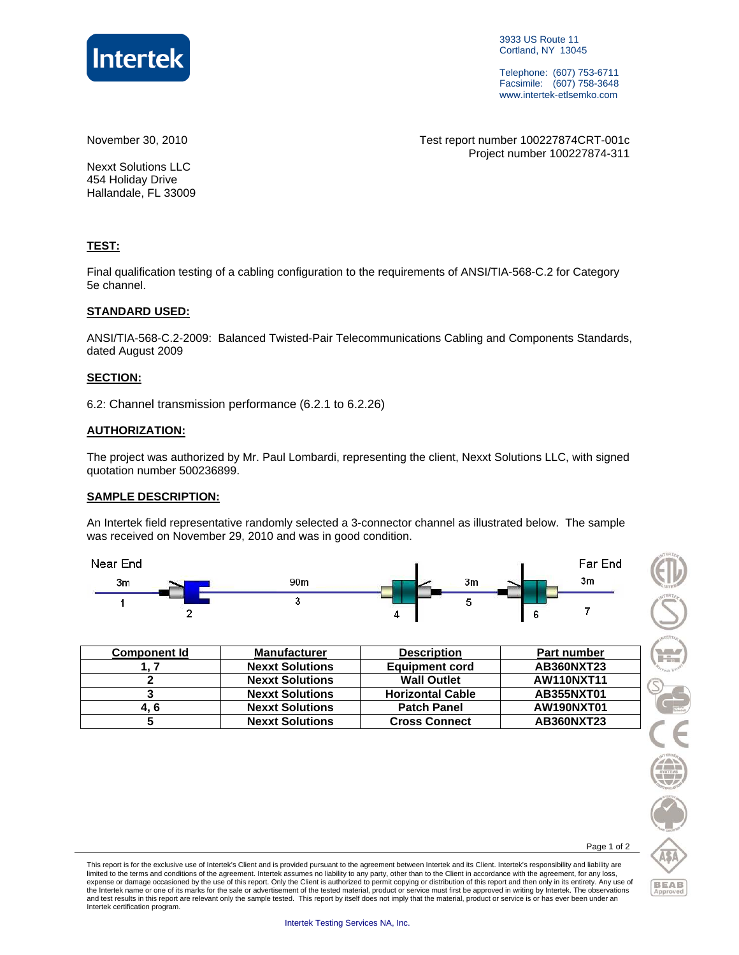

3933 US Route 11 Cortland, NY 13045

Telephone: (607) 753-6711 Facsimile: (607) 758-3648 www.intertek-etlsemko.com

November 30, 2010 Test report number 100227874CRT-001c Project number 100227874-311

Nexxt Solutions LLC 454 Holiday Drive Hallandale, FL 33009

#### **TEST:**

Final qualification testing of a cabling configuration to the requirements of ANSI/TIA-568-C.2 for Category 5e channel.

#### **STANDARD USED:**

ANSI/TIA-568-C.2-2009: Balanced Twisted-Pair Telecommunications Cabling and Components Standards, dated August 2009

#### **SECTION:**

6.2: Channel transmission performance (6.2.1 to 6.2.26)

#### **AUTHORIZATION:**

The project was authorized by Mr. Paul Lombardi, representing the client, Nexxt Solutions LLC, with signed quotation number 500236899.

#### **SAMPLE DESCRIPTION:**

An Intertek field representative randomly selected a 3-connector channel as illustrated below. The sample was received on November 29, 2010 and was in good condition.



| <b>Component Id</b> | <b>Manufacturer</b>    | <b>Description</b>      | <b>Part number</b> |
|---------------------|------------------------|-------------------------|--------------------|
|                     | <b>Nexxt Solutions</b> | <b>Equipment cord</b>   | AB360NXT23         |
|                     | <b>Nexxt Solutions</b> | <b>Wall Outlet</b>      | <b>AW110NXT11</b>  |
|                     | <b>Nexxt Solutions</b> | <b>Horizontal Cable</b> | AB355NXT01         |
| 4. 6                | <b>Nexxt Solutions</b> | <b>Patch Panel</b>      | AW190NXT01         |
|                     | <b>Nexxt Solutions</b> | <b>Cross Connect</b>    | AB360NXT23         |



Page 1 of 2

This report is for the exclusive use of Intertek's Client and is provided pursuant to the agreement between Intertek and its Client. Intertek's responsibility and liability are limited to the terms and conditions of the agreement. Intertek assumes no liability to any party, other than to the Client in accordance with the agreement, for any loss,<br>expense or damage occasioned by the use of this rep the Intertek name or one of its marks for the sale or advertisement of the tested material, product or service must first be approved in writing by Intertek. The observations and test results in this report are relevant only the sample tested. This report by itself does not imply that the material, product or service is or has ever been under an Intertek certification program.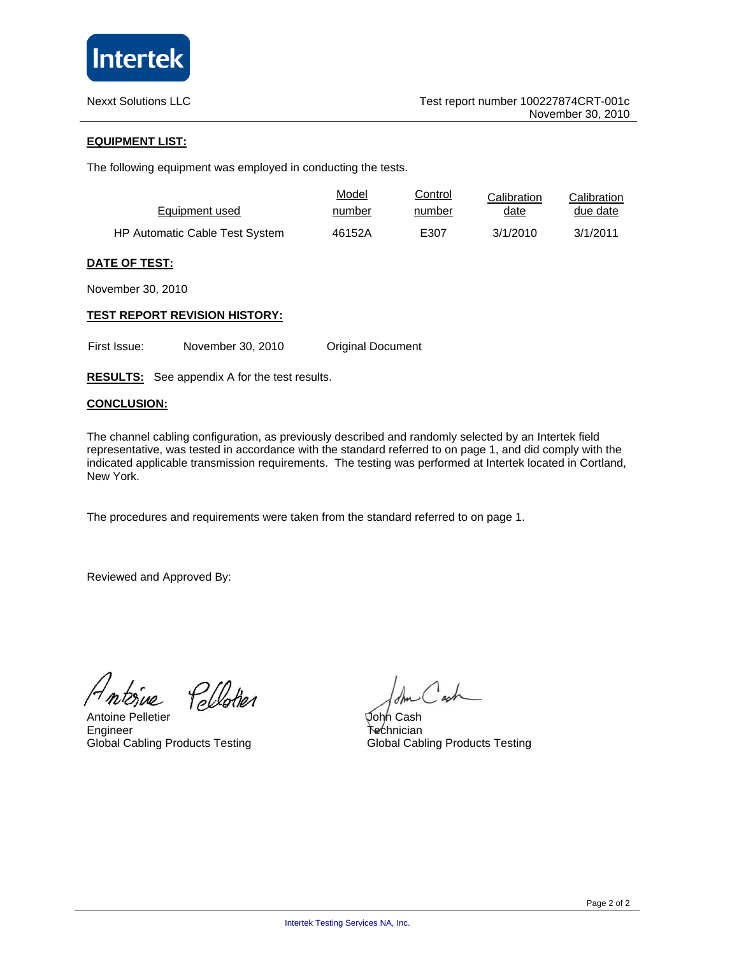

#### **EQUIPMENT LIST:**

The following equipment was employed in conducting the tests.

| Equipment used                        | Model  | Control | Calibration | Calibration |
|---------------------------------------|--------|---------|-------------|-------------|
|                                       | number | number  | date        | due date    |
| <b>HP Automatic Cable Test System</b> | 46152A | E307    | 3/1/2010    | 3/1/2011    |

#### **DATE OF TEST:**

November 30, 2010

#### **TEST REPORT REVISION HISTORY:**

First Issue: November 30, 2010 Original Document

**RESULTS:** See appendix A for the test results.

#### **CONCLUSION:**

The channel cabling configuration, as previously described and randomly selected by an Intertek field representative, was tested in accordance with the standard referred to on page 1, and did comply with the indicated applicable transmission requirements. The testing was performed at Intertek located in Cortland, New York.

The procedures and requirements were taken from the standard referred to on page 1.

Reviewed and Approved By:

 $\mu$ 

Pellotier

Antoine Pelletier Engineer Global Cabling Products Testing

John Cash Technician Global Cabling Products Testing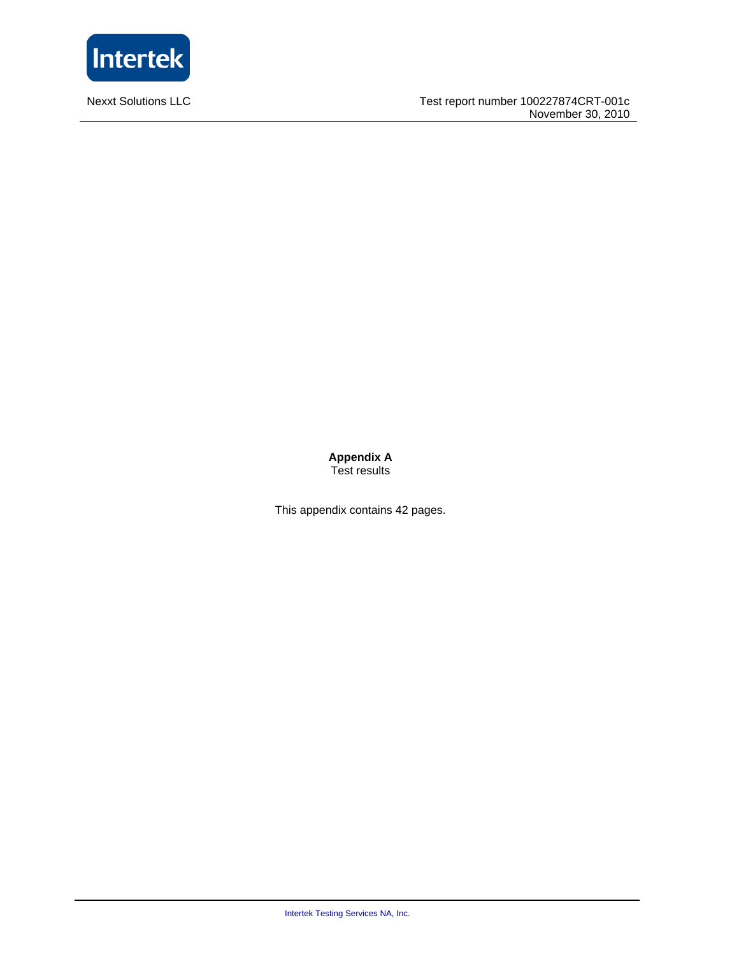

**Nexxt Solutions LLC** 

**Appendix A**  Test results

This appendix contains 42 pages.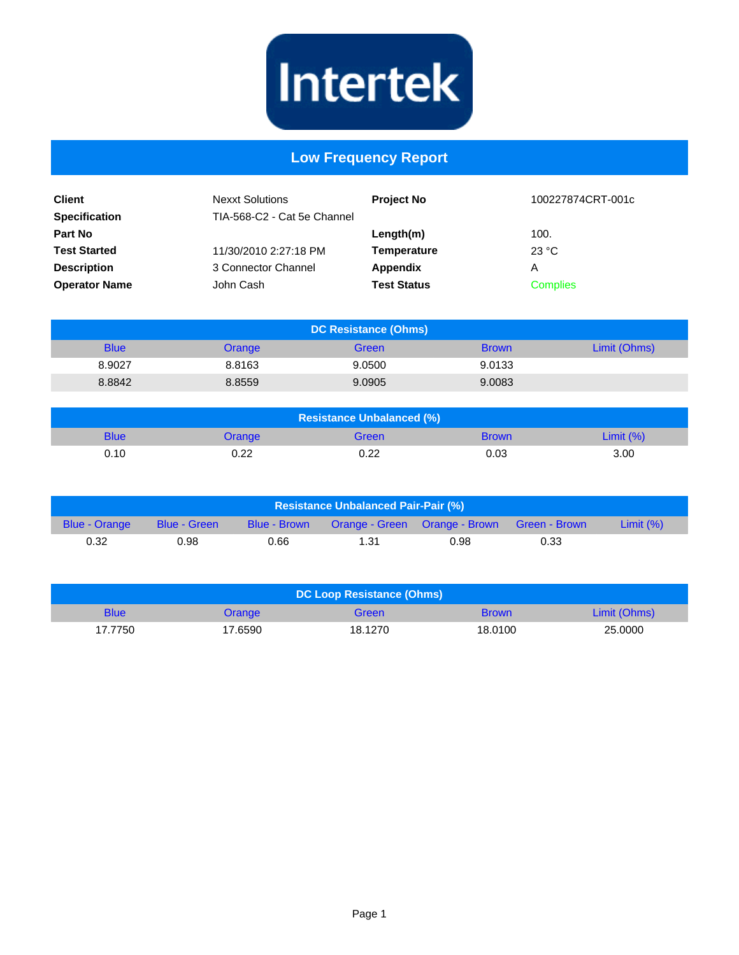

## **Low Frequency Report**

| <b>Client</b><br><b>Specification</b> | <b>Nexxt Solutions</b><br>TIA-568-C2 - Cat 5e Channel | <b>Project No</b>  | 100227874CRT-001c |
|---------------------------------------|-------------------------------------------------------|--------------------|-------------------|
| <b>Part No</b>                        |                                                       | Length(m)          | 100.              |
| <b>Test Started</b>                   | 11/30/2010 2:27:18 PM                                 | Temperature        | 23 °C             |
| <b>Description</b>                    | 3 Connector Channel                                   | Appendix           | Α                 |
| <b>Operator Name</b>                  | John Cash                                             | <b>Test Status</b> | <b>Complies</b>   |

| <b>DC Resistance (Ohms)</b> |        |        |              |              |
|-----------------------------|--------|--------|--------------|--------------|
| <b>Blue</b>                 | Orange | Green  | <b>Brown</b> | Limit (Ohms) |
| 8.9027                      | 8.8163 | 9.0500 | 9.0133       |              |
| 8.8842                      | 8.8559 | 9.0905 | 9.0083       |              |

| <b>Resistance Unbalanced (%)</b> |        |       |              |              |
|----------------------------------|--------|-------|--------------|--------------|
| <b>Blue</b>                      | Orange | Green | <b>Brown</b> | Limit $(\%)$ |
| 0.10                             | 0.22   | 0.22  | 0.03         | 3.00         |

| <b>Resistance Unbalanced Pair-Pair (%)</b> |              |              |      |                                             |      |              |
|--------------------------------------------|--------------|--------------|------|---------------------------------------------|------|--------------|
| <b>Blue - Orange</b>                       | Blue - Green | Blue - Brown |      | Orange - Green Orange - Brown Green - Brown |      | Limit $(\%)$ |
| 0.32                                       | 0.98         | 0.66         | 1.31 | 0.98                                        | 0.33 |              |

| DC Loop Resistance (Ohms) |         |         |              |              |
|---------------------------|---------|---------|--------------|--------------|
| <b>Blue</b>               | Orange  | Green   | <b>Brown</b> | Limit (Ohms) |
| 17.7750                   | 17.6590 | 18.1270 | 18.0100      | 25,0000      |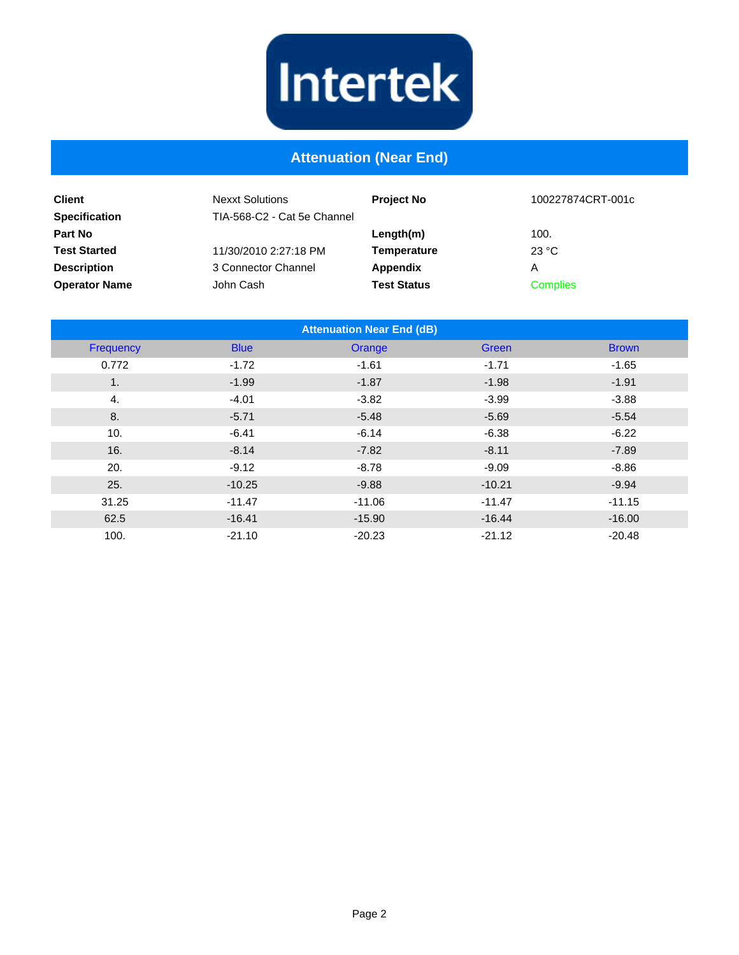

## **Attenuation (Near End)**

| <b>Client</b><br><b>Specification</b> | <b>Nexxt Solutions</b><br>TIA-568-C2 - Cat 5e Channel | <b>Project No</b>  | 100227874CRT-001c |
|---------------------------------------|-------------------------------------------------------|--------------------|-------------------|
| <b>Part No</b>                        |                                                       | Length(m)          | 100.              |
| <b>Test Started</b>                   | 11/30/2010 2:27:18 PM                                 | Temperature        | 23 °C             |
| <b>Description</b>                    | 3 Connector Channel                                   | Appendix           | Α                 |
| <b>Operator Name</b>                  | John Cash                                             | <b>Test Status</b> | <b>Complies</b>   |

| <b>Attenuation Near End (dB)</b> |             |          |          |              |  |
|----------------------------------|-------------|----------|----------|--------------|--|
| Frequency                        | <b>Blue</b> | Orange   | Green    | <b>Brown</b> |  |
| 0.772                            | $-1.72$     | $-1.61$  | $-1.71$  | $-1.65$      |  |
| 1.                               | $-1.99$     | $-1.87$  | $-1.98$  | $-1.91$      |  |
| 4.                               | $-4.01$     | $-3.82$  | $-3.99$  | $-3.88$      |  |
| 8.                               | $-5.71$     | $-5.48$  | $-5.69$  | $-5.54$      |  |
| 10.                              | $-6.41$     | $-6.14$  | $-6.38$  | $-6.22$      |  |
| 16.                              | $-8.14$     | $-7.82$  | $-8.11$  | $-7.89$      |  |
| 20.                              | $-9.12$     | $-8.78$  | $-9.09$  | $-8.86$      |  |
| 25.                              | $-10.25$    | $-9.88$  | $-10.21$ | $-9.94$      |  |
| 31.25                            | $-11.47$    | $-11.06$ | $-11.47$ | $-11.15$     |  |
| 62.5                             | $-16.41$    | $-15.90$ | $-16.44$ | $-16.00$     |  |
| 100.                             | $-21.10$    | $-20.23$ | $-21.12$ | $-20.48$     |  |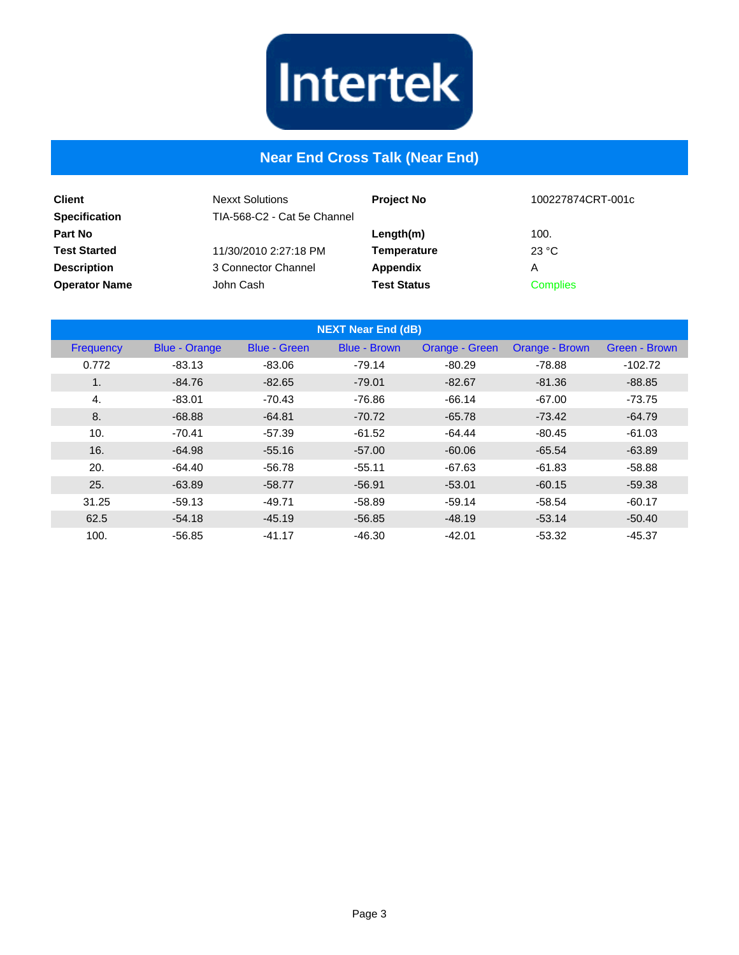

## **Near End Cross Talk (Near End)**

| <b>Client</b><br><b>Specification</b> | <b>Nexxt Solutions</b><br>TIA-568-C2 - Cat 5e Channel | <b>Project No</b>  | 100227874CRT-001c |
|---------------------------------------|-------------------------------------------------------|--------------------|-------------------|
| <b>Part No</b>                        |                                                       | Length(m)          | 100.              |
| <b>Test Started</b>                   | 11/30/2010 2:27:18 PM                                 | <b>Temperature</b> | 23 °C             |
| <b>Description</b>                    | 3 Connector Channel                                   | Appendix           | Α                 |
| <b>Operator Name</b>                  | John Cash                                             | <b>Test Status</b> | <b>Complies</b>   |

| <b>NEXT Near End (dB)</b> |                      |                     |                     |                |                |               |
|---------------------------|----------------------|---------------------|---------------------|----------------|----------------|---------------|
| Frequency                 | <b>Blue - Orange</b> | <b>Blue - Green</b> | <b>Blue - Brown</b> | Orange - Green | Orange - Brown | Green - Brown |
| 0.772                     | $-83.13$             | $-83.06$            | $-79.14$            | $-80.29$       | $-78.88$       | $-102.72$     |
| 1.                        | -84.76               | $-82.65$            | $-79.01$            | $-82.67$       | $-81.36$       | $-88.85$      |
| 4.                        | $-83.01$             | $-70.43$            | $-76.86$            | $-66.14$       | $-67.00$       | $-73.75$      |
| 8.                        | $-68.88$             | $-64.81$            | $-70.72$            | $-65.78$       | $-73.42$       | $-64.79$      |
| 10.                       | $-70.41$             | $-57.39$            | $-61.52$            | $-64.44$       | $-80.45$       | $-61.03$      |
| 16.                       | $-64.98$             | $-55.16$            | $-57.00$            | $-60.06$       | $-65.54$       | $-63.89$      |
| 20.                       | $-64.40$             | $-56.78$            | $-55.11$            | $-67.63$       | $-61.83$       | $-58.88$      |
| 25.                       | $-63.89$             | $-58.77$            | $-56.91$            | $-53.01$       | $-60.15$       | $-59.38$      |
| 31.25                     | $-59.13$             | $-49.71$            | $-58.89$            | $-59.14$       | $-58.54$       | $-60.17$      |
| 62.5                      | $-54.18$             | $-45.19$            | $-56.85$            | $-48.19$       | $-53.14$       | $-50.40$      |
| 100.                      | $-56.85$             | $-41.17$            | $-46.30$            | $-42.01$       | $-53.32$       | $-45.37$      |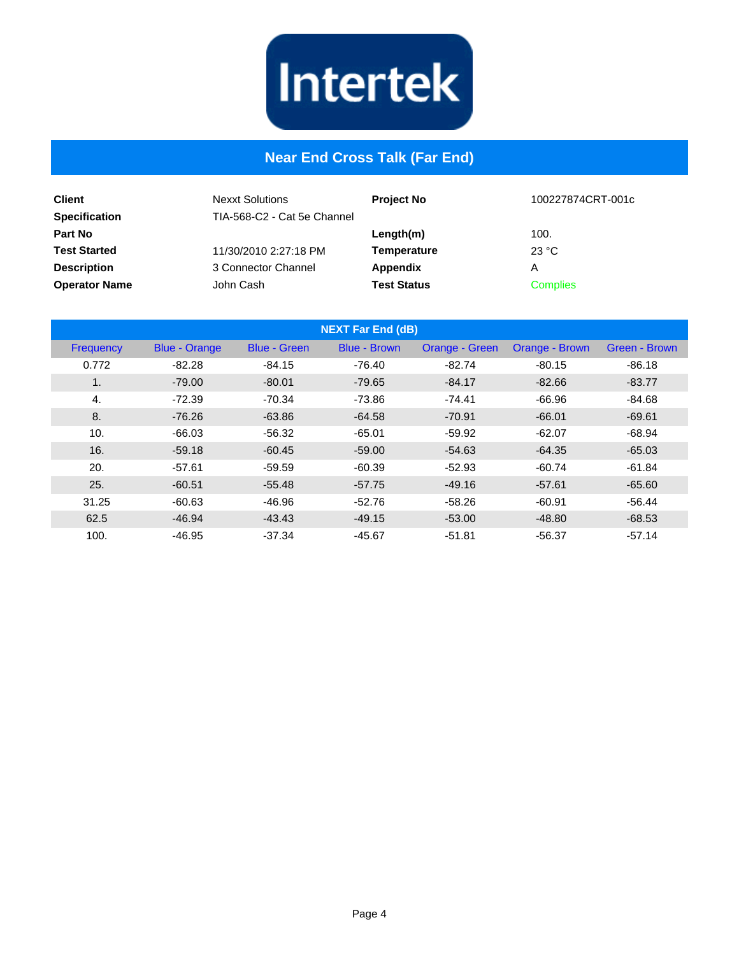

## **Near End Cross Talk (Far End)**

| <b>Client</b><br><b>Specification</b> | <b>Nexxt Solutions</b><br>TIA-568-C2 - Cat 5e Channel | <b>Project No</b>  | 100227874CRT-001c |
|---------------------------------------|-------------------------------------------------------|--------------------|-------------------|
| <b>Part No</b>                        |                                                       | Length(m)          | 100.              |
| <b>Test Started</b>                   | 11/30/2010 2:27:18 PM                                 | <b>Temperature</b> | 23 °C             |
| <b>Description</b>                    | 3 Connector Channel                                   | Appendix           | А                 |
| <b>Operator Name</b>                  | John Cash                                             | <b>Test Status</b> | <b>Complies</b>   |

|           |                      |                     | <b>NEXT Far End (dB)</b> |                |                |               |
|-----------|----------------------|---------------------|--------------------------|----------------|----------------|---------------|
| Frequency | <b>Blue - Orange</b> | <b>Blue - Green</b> | <b>Blue - Brown</b>      | Orange - Green | Orange - Brown | Green - Brown |
| 0.772     | $-82.28$             | $-84.15$            | $-76.40$                 | $-82.74$       | $-80.15$       | $-86.18$      |
| 1.        | $-79.00$             | $-80.01$            | $-79.65$                 | $-84.17$       | $-82.66$       | $-83.77$      |
| 4.        | $-72.39$             | $-70.34$            | $-73.86$                 | $-74.41$       | $-66.96$       | $-84.68$      |
| 8.        | $-76.26$             | $-63.86$            | $-64.58$                 | $-70.91$       | $-66.01$       | $-69.61$      |
| 10.       | $-66.03$             | $-56.32$            | $-65.01$                 | $-59.92$       | $-62.07$       | $-68.94$      |
| 16.       | $-59.18$             | $-60.45$            | $-59.00$                 | $-54.63$       | $-64.35$       | $-65.03$      |
| 20.       | $-57.61$             | $-59.59$            | $-60.39$                 | $-52.93$       | $-60.74$       | $-61.84$      |
| 25.       | $-60.51$             | $-55.48$            | $-57.75$                 | $-49.16$       | $-57.61$       | $-65.60$      |
| 31.25     | $-60.63$             | $-46.96$            | $-52.76$                 | $-58.26$       | $-60.91$       | $-56.44$      |
| 62.5      | $-46.94$             | $-43.43$            | $-49.15$                 | $-53.00$       | $-48.80$       | $-68.53$      |
| 100.      | $-46.95$             | $-37.34$            | $-45.67$                 | $-51.81$       | $-56.37$       | $-57.14$      |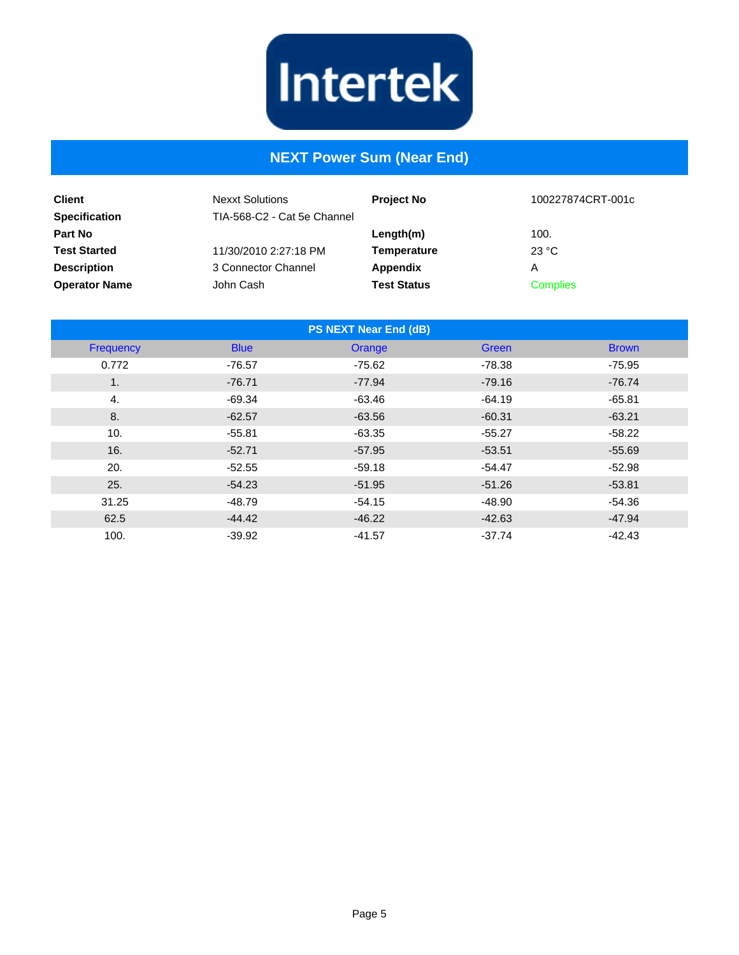

## **NEXT Power Sum (Near End)**

| <b>Client</b><br><b>Specification</b> | <b>Nexxt Solutions</b><br>TIA-568-C2 - Cat 5e Channel | <b>Project No</b>  | 100227874CRT-001c |
|---------------------------------------|-------------------------------------------------------|--------------------|-------------------|
| <b>Part No</b>                        |                                                       | Length(m)          | 100.              |
| <b>Test Started</b>                   | 11/30/2010 2:27:18 PM                                 | Temperature        | 23 °C             |
| <b>Description</b>                    | 3 Connector Channel                                   | Appendix           | Α                 |
| <b>Operator Name</b>                  | John Cash                                             | <b>Test Status</b> | <b>Complies</b>   |

| <b>PS NEXT Near End (dB)</b> |             |          |              |              |  |
|------------------------------|-------------|----------|--------------|--------------|--|
| Frequency                    | <b>Blue</b> | Orange   | <b>Green</b> | <b>Brown</b> |  |
| 0.772                        | $-76.57$    | $-75.62$ | $-78.38$     | $-75.95$     |  |
| 1.                           | $-76.71$    | $-77.94$ | $-79.16$     | $-76.74$     |  |
| 4.                           | $-69.34$    | $-63.46$ | $-64.19$     | $-65.81$     |  |
| 8.                           | $-62.57$    | $-63.56$ | $-60.31$     | $-63.21$     |  |
| 10.                          | $-55.81$    | $-63.35$ | $-55.27$     | $-58.22$     |  |
| 16.                          | $-52.71$    | $-57.95$ | $-53.51$     | $-55.69$     |  |
| 20.                          | $-52.55$    | $-59.18$ | $-54.47$     | $-52.98$     |  |
| 25.                          | $-54.23$    | $-51.95$ | $-51.26$     | $-53.81$     |  |
| 31.25                        | $-48.79$    | $-54.15$ | $-48.90$     | $-54.36$     |  |
| 62.5                         | $-44.42$    | $-46.22$ | $-42.63$     | $-47.94$     |  |
| 100.                         | $-39.92$    | $-41.57$ | $-37.74$     | $-42.43$     |  |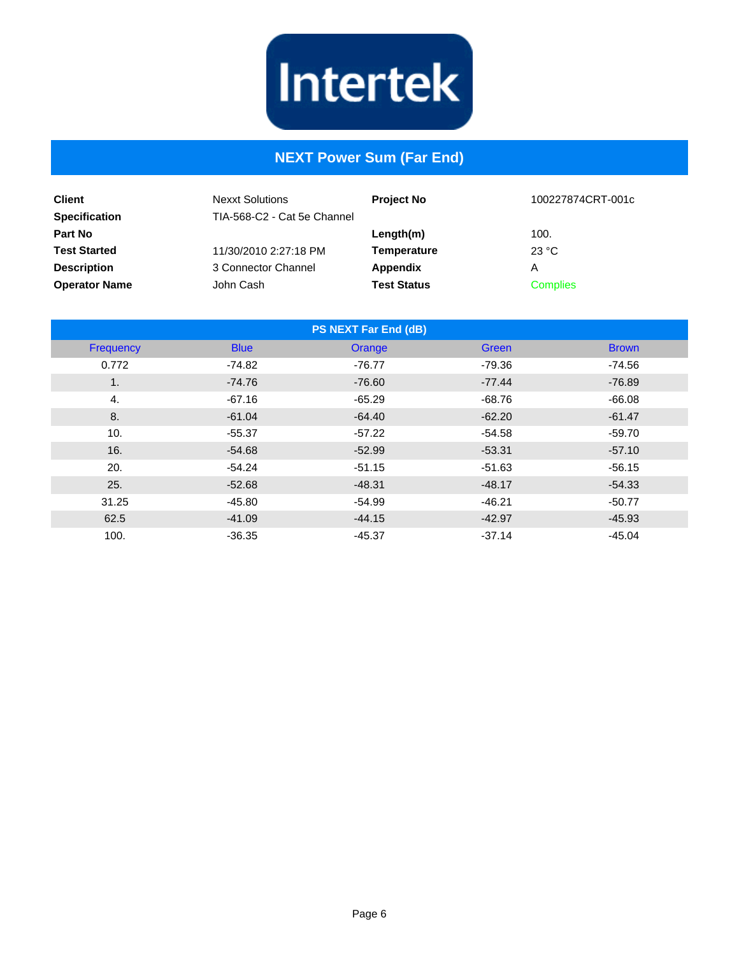

# **NEXT Power Sum (Far End)**

| <b>Client</b><br><b>Specification</b> | <b>Nexxt Solutions</b><br>TIA-568-C2 - Cat 5e Channel | <b>Project No</b>  | 100227874CRT-001c |
|---------------------------------------|-------------------------------------------------------|--------------------|-------------------|
| Part No                               |                                                       | Length(m)          | 100.              |
| <b>Test Started</b>                   | 11/30/2010 2:27:18 PM                                 | <b>Temperature</b> | 23 °C             |
| <b>Description</b>                    | 3 Connector Channel                                   | Appendix           | Α                 |
| <b>Operator Name</b>                  | John Cash                                             | <b>Test Status</b> | <b>Complies</b>   |

| <b>PS NEXT Far End (dB)</b> |             |          |              |              |  |
|-----------------------------|-------------|----------|--------------|--------------|--|
| Frequency                   | <b>Blue</b> | Orange   | <b>Green</b> | <b>Brown</b> |  |
| 0.772                       | $-74.82$    | $-76.77$ | $-79.36$     | $-74.56$     |  |
| 1.                          | $-74.76$    | $-76.60$ | $-77.44$     | $-76.89$     |  |
| 4.                          | $-67.16$    | $-65.29$ | $-68.76$     | $-66.08$     |  |
| 8.                          | $-61.04$    | $-64.40$ | $-62.20$     | $-61.47$     |  |
| 10.                         | $-55.37$    | $-57.22$ | $-54.58$     | $-59.70$     |  |
| 16.                         | $-54.68$    | $-52.99$ | $-53.31$     | $-57.10$     |  |
| 20.                         | $-54.24$    | $-51.15$ | $-51.63$     | $-56.15$     |  |
| 25.                         | $-52.68$    | $-48.31$ | $-48.17$     | $-54.33$     |  |
| 31.25                       | $-45.80$    | $-54.99$ | $-46.21$     | $-50.77$     |  |
| 62.5                        | $-41.09$    | $-44.15$ | $-42.97$     | $-45.93$     |  |
| 100.                        | $-36.35$    | $-45.37$ | $-37.14$     | $-45.04$     |  |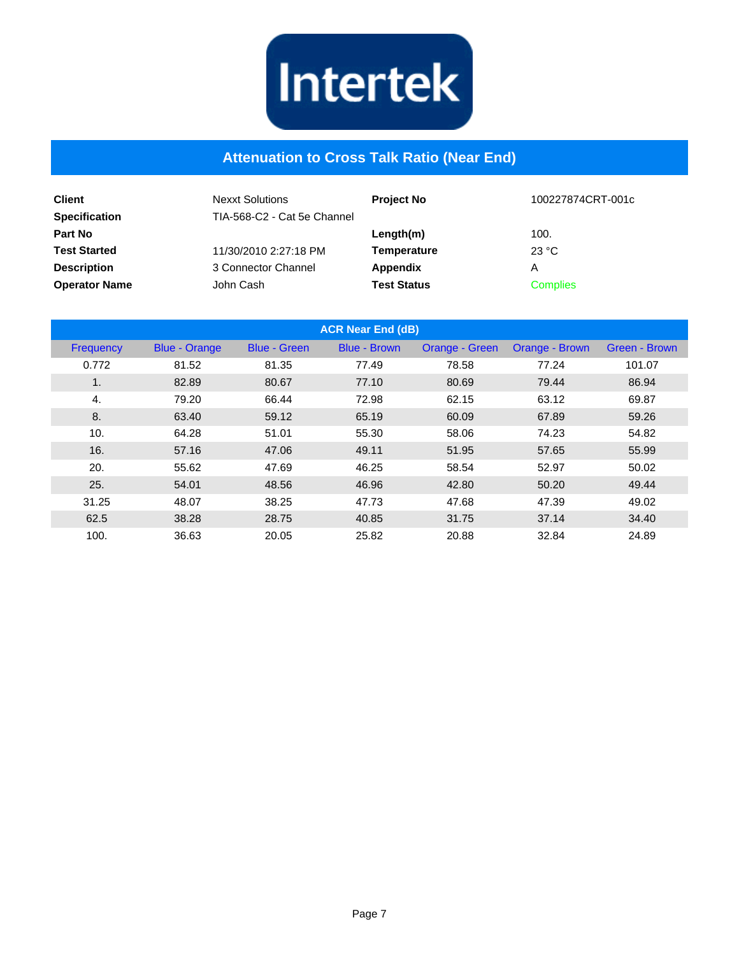

#### **Attenuation to Cross Talk Ratio (Near End)**

| <b>Client</b><br><b>Specification</b> | <b>Nexxt Solutions</b><br>TIA-568-C2 - Cat 5e Channel | <b>Project No</b>  | 100227874CRT-001c |
|---------------------------------------|-------------------------------------------------------|--------------------|-------------------|
| <b>Part No</b>                        |                                                       | Length(m)          | 100.              |
| <b>Test Started</b>                   | 11/30/2010 2:27:18 PM                                 | Temperature        | 23 °C             |
| <b>Description</b>                    | 3 Connector Channel                                   | Appendix           | А                 |
| <b>Operator Name</b>                  | John Cash                                             | <b>Test Status</b> | <b>Complies</b>   |

| <b>ACR Near End (dB)</b> |                      |                     |                     |                |                |               |
|--------------------------|----------------------|---------------------|---------------------|----------------|----------------|---------------|
| Frequency                | <b>Blue - Orange</b> | <b>Blue - Green</b> | <b>Blue - Brown</b> | Orange - Green | Orange - Brown | Green - Brown |
| 0.772                    | 81.52                | 81.35               | 77.49               | 78.58          | 77.24          | 101.07        |
| 1.                       | 82.89                | 80.67               | 77.10               | 80.69          | 79.44          | 86.94         |
| $\overline{4}$ .         | 79.20                | 66.44               | 72.98               | 62.15          | 63.12          | 69.87         |
| 8.                       | 63.40                | 59.12               | 65.19               | 60.09          | 67.89          | 59.26         |
| 10.                      | 64.28                | 51.01               | 55.30               | 58.06          | 74.23          | 54.82         |
| 16.                      | 57.16                | 47.06               | 49.11               | 51.95          | 57.65          | 55.99         |
| 20.                      | 55.62                | 47.69               | 46.25               | 58.54          | 52.97          | 50.02         |
| 25.                      | 54.01                | 48.56               | 46.96               | 42.80          | 50.20          | 49.44         |
| 31.25                    | 48.07                | 38.25               | 47.73               | 47.68          | 47.39          | 49.02         |
| 62.5                     | 38.28                | 28.75               | 40.85               | 31.75          | 37.14          | 34.40         |
| 100.                     | 36.63                | 20.05               | 25.82               | 20.88          | 32.84          | 24.89         |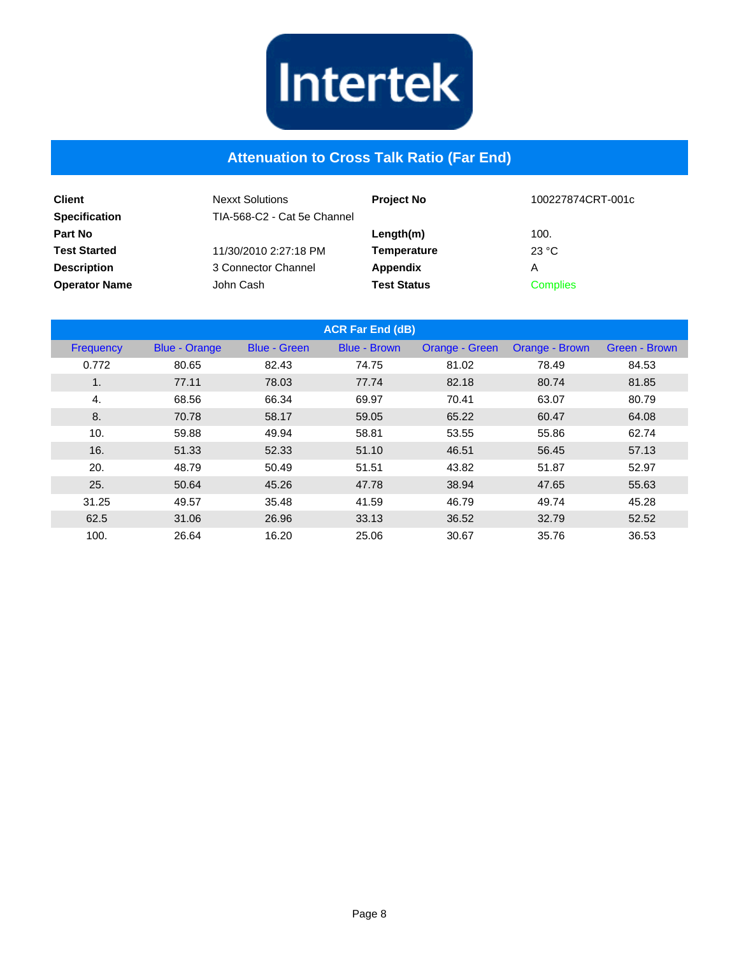

#### **Attenuation to Cross Talk Ratio (Far End)**

| <b>Client</b><br><b>Specification</b> | <b>Nexxt Solutions</b><br>TIA-568-C2 - Cat 5e Channel | <b>Project No</b>  | 100227874CRT-001c |
|---------------------------------------|-------------------------------------------------------|--------------------|-------------------|
| Part No                               |                                                       | Length(m)          | 100.              |
| <b>Test Started</b>                   | 11/30/2010 2:27:18 PM                                 | Temperature        | 23 °C             |
| <b>Description</b>                    | 3 Connector Channel                                   | Appendix           | Α                 |
| <b>Operator Name</b>                  | John Cash                                             | <b>Test Status</b> | <b>Complies</b>   |

|                  |                      |                     | <b>ACR Far End (dB)</b> |                |                |                      |
|------------------|----------------------|---------------------|-------------------------|----------------|----------------|----------------------|
| Frequency        | <b>Blue - Orange</b> | <b>Blue - Green</b> | <b>Blue - Brown</b>     | Orange - Green | Orange - Brown | <b>Green - Brown</b> |
| 0.772            | 80.65                | 82.43               | 74.75                   | 81.02          | 78.49          | 84.53                |
| 1.               | 77.11                | 78.03               | 77.74                   | 82.18          | 80.74          | 81.85                |
| $\overline{4}$ . | 68.56                | 66.34               | 69.97                   | 70.41          | 63.07          | 80.79                |
| 8.               | 70.78                | 58.17               | 59.05                   | 65.22          | 60.47          | 64.08                |
| 10.              | 59.88                | 49.94               | 58.81                   | 53.55          | 55.86          | 62.74                |
| 16.              | 51.33                | 52.33               | 51.10                   | 46.51          | 56.45          | 57.13                |
| 20.              | 48.79                | 50.49               | 51.51                   | 43.82          | 51.87          | 52.97                |
| 25.              | 50.64                | 45.26               | 47.78                   | 38.94          | 47.65          | 55.63                |
| 31.25            | 49.57                | 35.48               | 41.59                   | 46.79          | 49.74          | 45.28                |
| 62.5             | 31.06                | 26.96               | 33.13                   | 36.52          | 32.79          | 52.52                |
| 100.             | 26.64                | 16.20               | 25.06                   | 30.67          | 35.76          | 36.53                |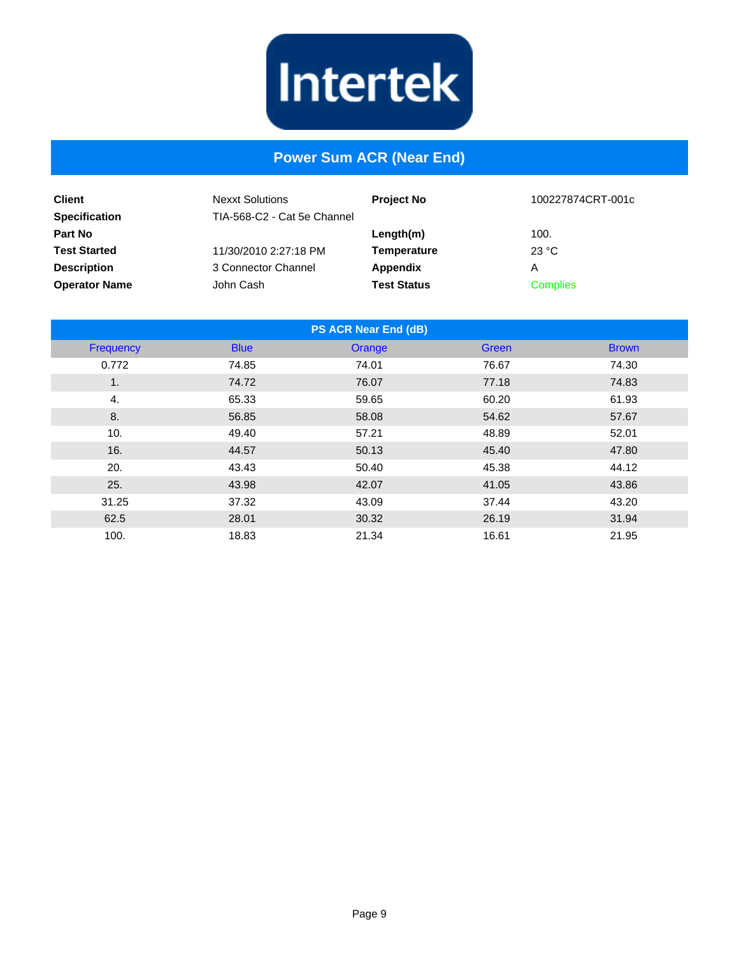

#### **Power Sum ACR (Near End)**

| <b>Client</b><br><b>Specification</b> | <b>Nexxt Solutions</b><br>TIA-568-C2 - Cat 5e Channel | <b>Project No</b>  | 100227874CRT-001c |
|---------------------------------------|-------------------------------------------------------|--------------------|-------------------|
| <b>Part No</b>                        |                                                       | Length(m)          | 100.              |
| <b>Test Started</b>                   | 11/30/2010 2:27:18 PM                                 | <b>Temperature</b> | 23 °C             |
| <b>Description</b>                    | 3 Connector Channel                                   | Appendix           | А                 |
| <b>Operator Name</b>                  | John Cash                                             | <b>Test Status</b> | <b>Complies</b>   |

| <b>PS ACR Near End (dB)</b> |             |        |       |              |
|-----------------------------|-------------|--------|-------|--------------|
| Frequency                   | <b>Blue</b> | Orange | Green | <b>Brown</b> |
| 0.772                       | 74.85       | 74.01  | 76.67 | 74.30        |
| 1.                          | 74.72       | 76.07  | 77.18 | 74.83        |
| 4.                          | 65.33       | 59.65  | 60.20 | 61.93        |
| 8.                          | 56.85       | 58.08  | 54.62 | 57.67        |
| 10.                         | 49.40       | 57.21  | 48.89 | 52.01        |
| 16.                         | 44.57       | 50.13  | 45.40 | 47.80        |
| 20.                         | 43.43       | 50.40  | 45.38 | 44.12        |
| 25.                         | 43.98       | 42.07  | 41.05 | 43.86        |
| 31.25                       | 37.32       | 43.09  | 37.44 | 43.20        |
| 62.5                        | 28.01       | 30.32  | 26.19 | 31.94        |
| 100.                        | 18.83       | 21.34  | 16.61 | 21.95        |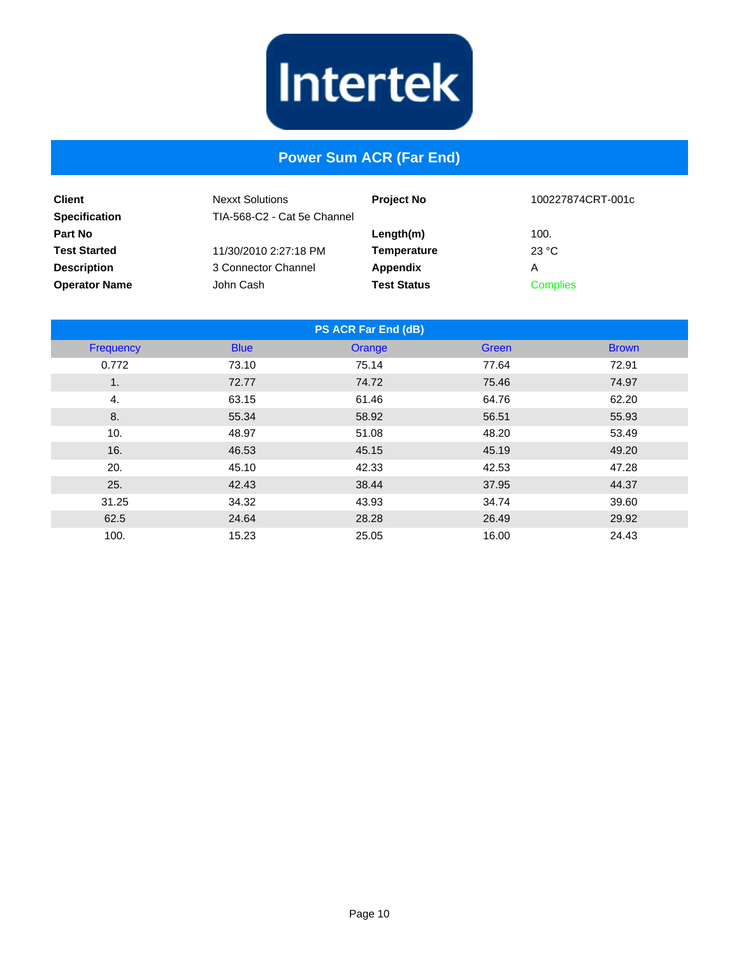

#### **Power Sum ACR (Far End)**

| <b>Client</b>                          | <b>Nexxt Solutions</b><br>TIA-568-C2 - Cat 5e Channel | <b>Project No</b>  | 100227874CRT-001c |
|----------------------------------------|-------------------------------------------------------|--------------------|-------------------|
| <b>Specification</b><br><b>Part No</b> |                                                       | Length(m)          | 100.              |
| <b>Test Started</b>                    | 11/30/2010 2:27:18 PM                                 | <b>Temperature</b> | 23 °C             |
| <b>Description</b>                     | 3 Connector Channel                                   | Appendix           | Α                 |
| <b>Operator Name</b>                   | John Cash                                             | <b>Test Status</b> | <b>Complies</b>   |

| <b>PS ACR Far End (dB)</b> |             |        |       |              |  |
|----------------------------|-------------|--------|-------|--------------|--|
| Frequency                  | <b>Blue</b> | Orange | Green | <b>Brown</b> |  |
| 0.772                      | 73.10       | 75.14  | 77.64 | 72.91        |  |
| 1.                         | 72.77       | 74.72  | 75.46 | 74.97        |  |
| 4.                         | 63.15       | 61.46  | 64.76 | 62.20        |  |
| 8.                         | 55.34       | 58.92  | 56.51 | 55.93        |  |
| 10.                        | 48.97       | 51.08  | 48.20 | 53.49        |  |
| 16.                        | 46.53       | 45.15  | 45.19 | 49.20        |  |
| 20.                        | 45.10       | 42.33  | 42.53 | 47.28        |  |
| 25.                        | 42.43       | 38.44  | 37.95 | 44.37        |  |
| 31.25                      | 34.32       | 43.93  | 34.74 | 39.60        |  |
| 62.5                       | 24.64       | 28.28  | 26.49 | 29.92        |  |
| 100.                       | 15.23       | 25.05  | 16.00 | 24.43        |  |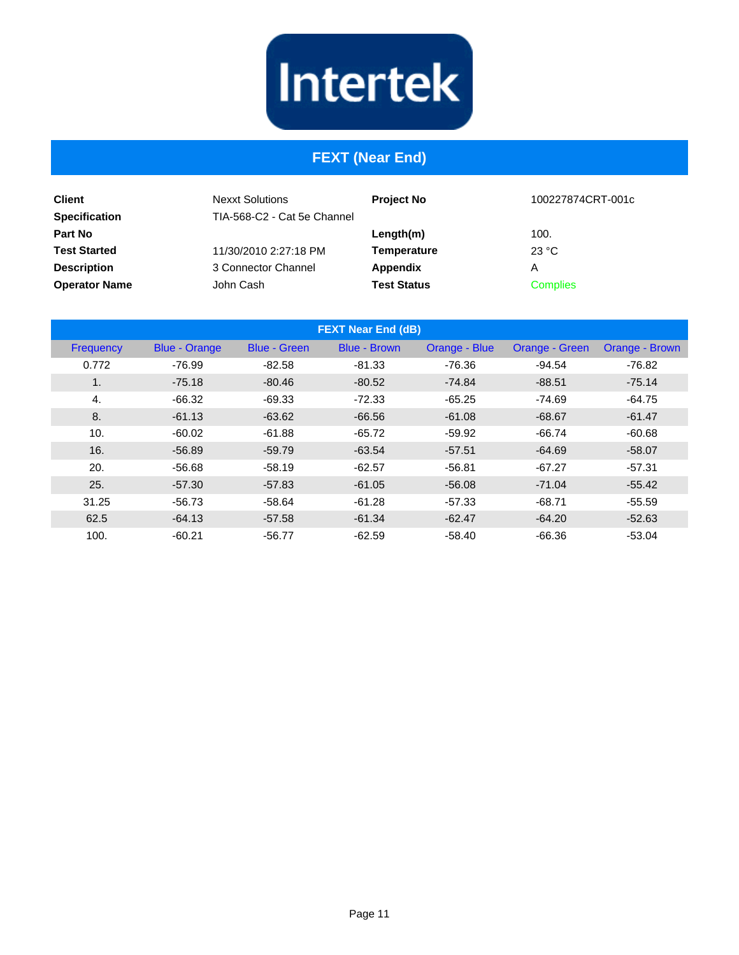# **FEXT (Near End)**

| <b>Client</b><br><b>Specification</b> | <b>Nexxt Solutions</b><br>TIA-568-C2 - Cat 5e Channel | <b>Project No</b>  | 100227874CRT-001c |
|---------------------------------------|-------------------------------------------------------|--------------------|-------------------|
| <b>Part No</b>                        |                                                       | Length(m)          | 100.              |
| <b>Test Started</b>                   | 11/30/2010 2:27:18 PM                                 | Temperature        | 23 °C             |
| <b>Description</b>                    | 3 Connector Channel                                   | Appendix           | А                 |
| <b>Operator Name</b>                  | John Cash                                             | <b>Test Status</b> | <b>Complies</b>   |

| <b>FEXT Near End (dB)</b> |                      |                     |                     |               |                |                |
|---------------------------|----------------------|---------------------|---------------------|---------------|----------------|----------------|
| Frequency                 | <b>Blue - Orange</b> | <b>Blue - Green</b> | <b>Blue - Brown</b> | Orange - Blue | Orange - Green | Orange - Brown |
| 0.772                     | -76.99               | $-82.58$            | $-81.33$            | -76.36        | $-94.54$       | -76.82         |
| $\mathbf{1}$ .            | $-75.18$             | $-80.46$            | $-80.52$            | $-74.84$      | $-88.51$       | $-75.14$       |
| 4.                        | $-66.32$             | $-69.33$            | $-72.33$            | $-65.25$      | $-74.69$       | $-64.75$       |
| 8.                        | $-61.13$             | $-63.62$            | $-66.56$            | $-61.08$      | $-68.67$       | $-61.47$       |
| 10.                       | $-60.02$             | $-61.88$            | $-65.72$            | $-59.92$      | $-66.74$       | $-60.68$       |
| 16.                       | $-56.89$             | $-59.79$            | $-63.54$            | $-57.51$      | $-64.69$       | $-58.07$       |
| 20.                       | $-56.68$             | $-58.19$            | $-62.57$            | $-56.81$      | $-67.27$       | $-57.31$       |
| 25.                       | $-57.30$             | $-57.83$            | $-61.05$            | $-56.08$      | $-71.04$       | $-55.42$       |
| 31.25                     | $-56.73$             | $-58.64$            | $-61.28$            | $-57.33$      | $-68.71$       | $-55.59$       |
| 62.5                      | $-64.13$             | $-57.58$            | $-61.34$            | $-62.47$      | $-64.20$       | $-52.63$       |
| 100.                      | $-60.21$             | $-56.77$            | $-62.59$            | $-58.40$      | $-66.36$       | $-53.04$       |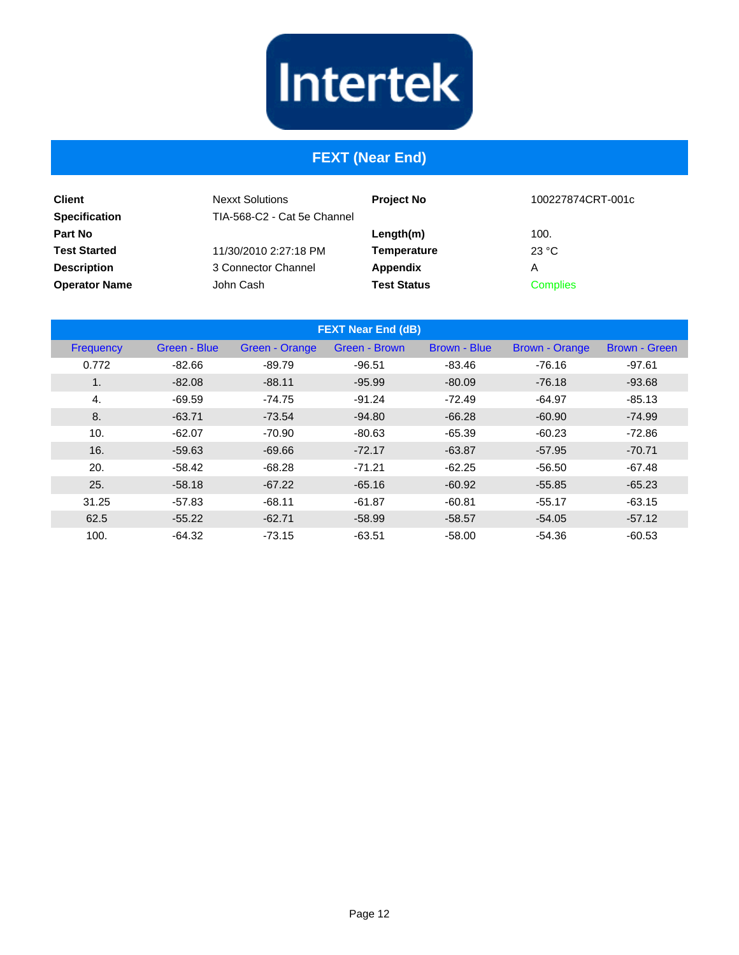#### **FEXT (Near End)**

| <b>Client</b><br><b>Specification</b> | <b>Nexxt Solutions</b><br>TIA-568-C2 - Cat 5e Channel | <b>Project No</b>  | 100227874CRT-001c |
|---------------------------------------|-------------------------------------------------------|--------------------|-------------------|
| <b>Part No</b>                        |                                                       | Length(m)          | 100.              |
| <b>Test Started</b>                   | 11/30/2010 2:27:18 PM                                 | Temperature        | 23 °C             |
| <b>Description</b>                    | 3 Connector Channel                                   | Appendix           | Α                 |
| <b>Operator Name</b>                  | John Cash                                             | <b>Test Status</b> | <b>Complies</b>   |

| <b>FEXT Near End (dB)</b> |              |                       |               |              |                       |               |
|---------------------------|--------------|-----------------------|---------------|--------------|-----------------------|---------------|
| Frequency                 | Green - Blue | <b>Green - Orange</b> | Green - Brown | Brown - Blue | <b>Brown - Orange</b> | Brown - Green |
| 0.772                     | $-82.66$     | $-89.79$              | $-96.51$      | $-83.46$     | $-76.16$              | $-97.61$      |
| 1 <sub>1</sub>            | $-82.08$     | $-88.11$              | $-95.99$      | $-80.09$     | $-76.18$              | $-93.68$      |
| 4.                        | $-69.59$     | $-74.75$              | $-91.24$      | $-72.49$     | $-64.97$              | $-85.13$      |
| 8.                        | $-63.71$     | $-73.54$              | $-94.80$      | $-66.28$     | $-60.90$              | $-74.99$      |
| 10.                       | $-62.07$     | $-70.90$              | $-80.63$      | $-65.39$     | $-60.23$              | $-72.86$      |
| 16.                       | $-59.63$     | $-69.66$              | $-72.17$      | $-63.87$     | $-57.95$              | $-70.71$      |
| 20.                       | $-58.42$     | $-68.28$              | $-71.21$      | $-62.25$     | $-56.50$              | $-67.48$      |
| 25.                       | $-58.18$     | $-67.22$              | $-65.16$      | $-60.92$     | $-55.85$              | $-65.23$      |
| 31.25                     | $-57.83$     | $-68.11$              | $-61.87$      | $-60.81$     | $-55.17$              | $-63.15$      |
| 62.5                      | $-55.22$     | $-62.71$              | $-58.99$      | $-58.57$     | $-54.05$              | $-57.12$      |
| 100.                      | $-64.32$     | $-73.15$              | $-63.51$      | $-58.00$     | $-54.36$              | $-60.53$      |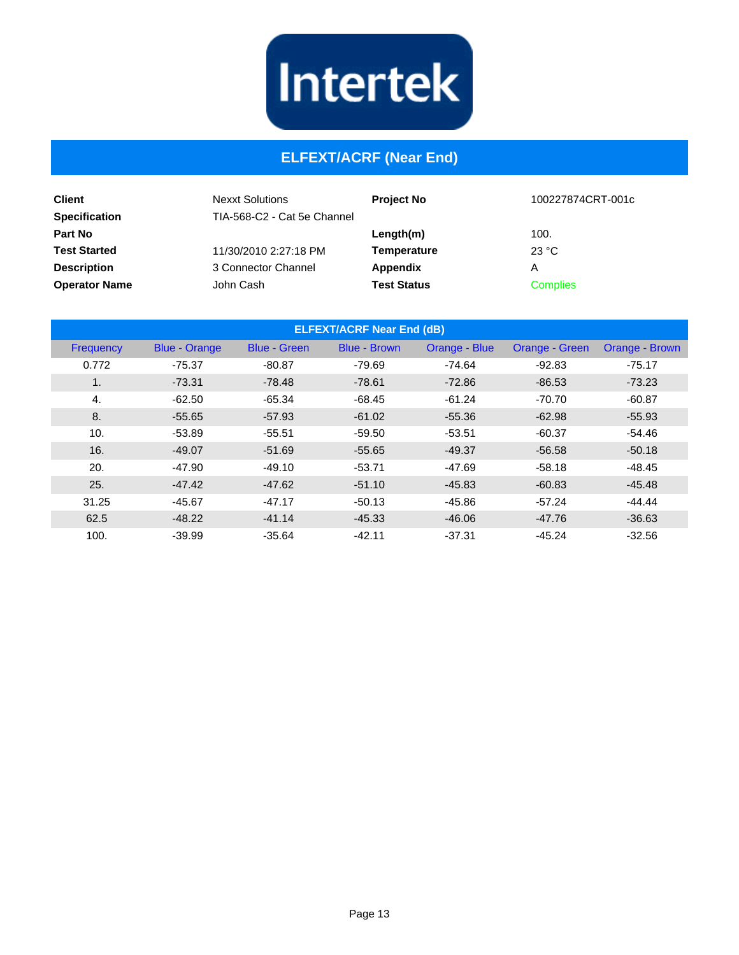

## **ELFEXT/ACRF (Near End)**

| <b>Client</b><br><b>Specification</b> | <b>Nexxt Solutions</b><br>TIA-568-C2 - Cat 5e Channel | <b>Project No</b>  | 100227874CRT-001c |
|---------------------------------------|-------------------------------------------------------|--------------------|-------------------|
| Part No                               |                                                       | Length(m)          | 100.              |
| <b>Test Started</b>                   | 11/30/2010 2:27:18 PM                                 | <b>Temperature</b> | 23 °C             |
| <b>Description</b>                    | 3 Connector Channel                                   | Appendix           | Α                 |
| <b>Operator Name</b>                  | John Cash                                             | <b>Test Status</b> | <b>Complies</b>   |

| <b>ELFEXT/ACRF Near End (dB)</b> |                      |                     |                     |               |                |                |
|----------------------------------|----------------------|---------------------|---------------------|---------------|----------------|----------------|
| Frequency                        | <b>Blue - Orange</b> | <b>Blue - Green</b> | <b>Blue - Brown</b> | Orange - Blue | Orange - Green | Orange - Brown |
| 0.772                            | -75.37               | $-80.87$            | $-79.69$            | $-74.64$      | $-92.83$       | $-75.17$       |
| $\mathbf{1}$ .                   | $-73.31$             | $-78.48$            | $-78.61$            | $-72.86$      | $-86.53$       | $-73.23$       |
| 4.                               | $-62.50$             | $-65.34$            | $-68.45$            | $-61.24$      | $-70.70$       | $-60.87$       |
| 8.                               | $-55.65$             | $-57.93$            | $-61.02$            | $-55.36$      | $-62.98$       | $-55.93$       |
| 10.                              | $-53.89$             | $-55.51$            | $-59.50$            | $-53.51$      | $-60.37$       | $-54.46$       |
| 16.                              | $-49.07$             | $-51.69$            | $-55.65$            | $-49.37$      | $-56.58$       | $-50.18$       |
| 20.                              | $-47.90$             | $-49.10$            | $-53.71$            | $-47.69$      | $-58.18$       | $-48.45$       |
| 25.                              | $-47.42$             | $-47.62$            | $-51.10$            | $-45.83$      | $-60.83$       | $-45.48$       |
| 31.25                            | $-45.67$             | $-47.17$            | $-50.13$            | $-45.86$      | $-57.24$       | $-44.44$       |
| 62.5                             | $-48.22$             | $-41.14$            | $-45.33$            | $-46.06$      | $-47.76$       | $-36.63$       |
| 100.                             | $-39.99$             | $-35.64$            | $-42.11$            | $-37.31$      | $-45.24$       | $-32.56$       |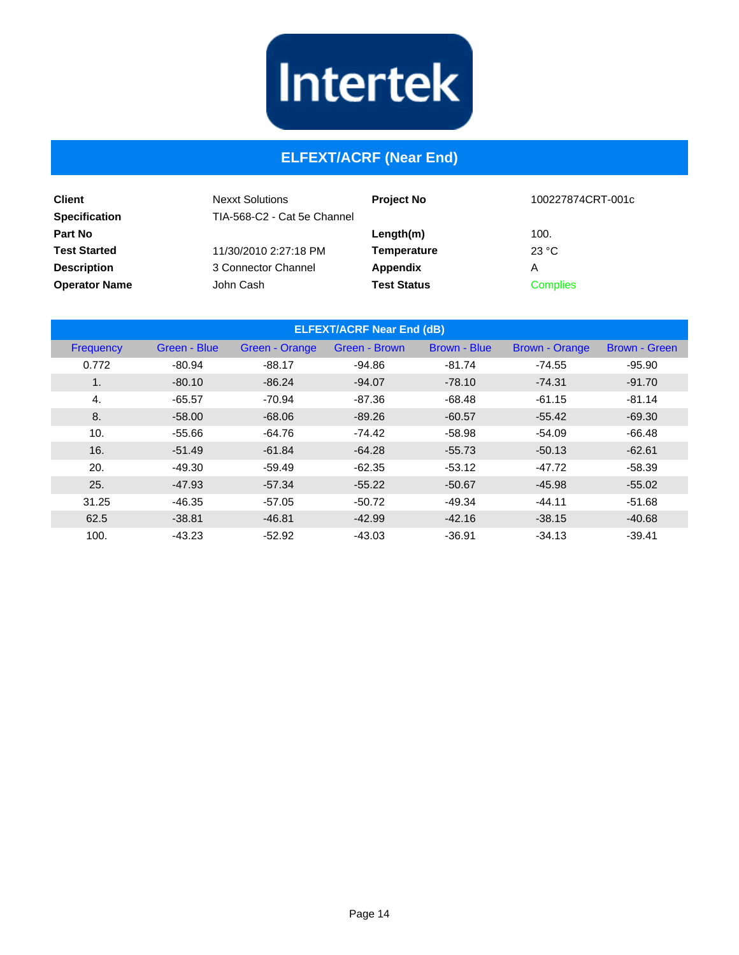

## **ELFEXT/ACRF (Near End)**

| <b>Client</b><br><b>Specification</b> | <b>Nexxt Solutions</b><br>TIA-568-C2 - Cat 5e Channel | <b>Project No</b>  | 100227874CRT-001c |
|---------------------------------------|-------------------------------------------------------|--------------------|-------------------|
| <b>Part No</b>                        |                                                       | $L$ ength $(m)$    | 100.              |
| <b>Test Started</b>                   | 11/30/2010 2:27:18 PM                                 | Temperature        | 23 °C             |
| <b>Description</b>                    | 3 Connector Channel                                   | Appendix           | А                 |
| <b>Operator Name</b>                  | John Cash                                             | <b>Test Status</b> | <b>Complies</b>   |

| <b>ELFEXT/ACRF Near End (dB)</b> |              |                |               |              |                       |                      |
|----------------------------------|--------------|----------------|---------------|--------------|-----------------------|----------------------|
| Frequency                        | Green - Blue | Green - Orange | Green - Brown | Brown - Blue | <b>Brown - Orange</b> | <b>Brown - Green</b> |
| 0.772                            | $-80.94$     | $-88.17$       | $-94.86$      | $-81.74$     | $-74.55$              | $-95.90$             |
| $\mathbf{1}$ .                   | $-80.10$     | $-86.24$       | $-94.07$      | $-78.10$     | $-74.31$              | $-91.70$             |
| 4.                               | $-65.57$     | $-70.94$       | $-87.36$      | $-68.48$     | $-61.15$              | $-81.14$             |
| 8.                               | $-58.00$     | $-68.06$       | $-89.26$      | $-60.57$     | $-55.42$              | $-69.30$             |
| 10.                              | $-55.66$     | $-64.76$       | $-74.42$      | $-58.98$     | $-54.09$              | $-66.48$             |
| 16.                              | $-51.49$     | $-61.84$       | $-64.28$      | $-55.73$     | $-50.13$              | $-62.61$             |
| 20.                              | $-49.30$     | $-59.49$       | $-62.35$      | $-53.12$     | $-47.72$              | $-58.39$             |
| 25.                              | $-47.93$     | $-57.34$       | $-55.22$      | $-50.67$     | $-45.98$              | $-55.02$             |
| 31.25                            | $-46.35$     | $-57.05$       | $-50.72$      | $-49.34$     | $-44.11$              | $-51.68$             |
| 62.5                             | $-38.81$     | $-46.81$       | $-42.99$      | $-42.16$     | $-38.15$              | $-40.68$             |
| 100.                             | $-43.23$     | $-52.92$       | $-43.03$      | $-36.91$     | $-34.13$              | $-39.41$             |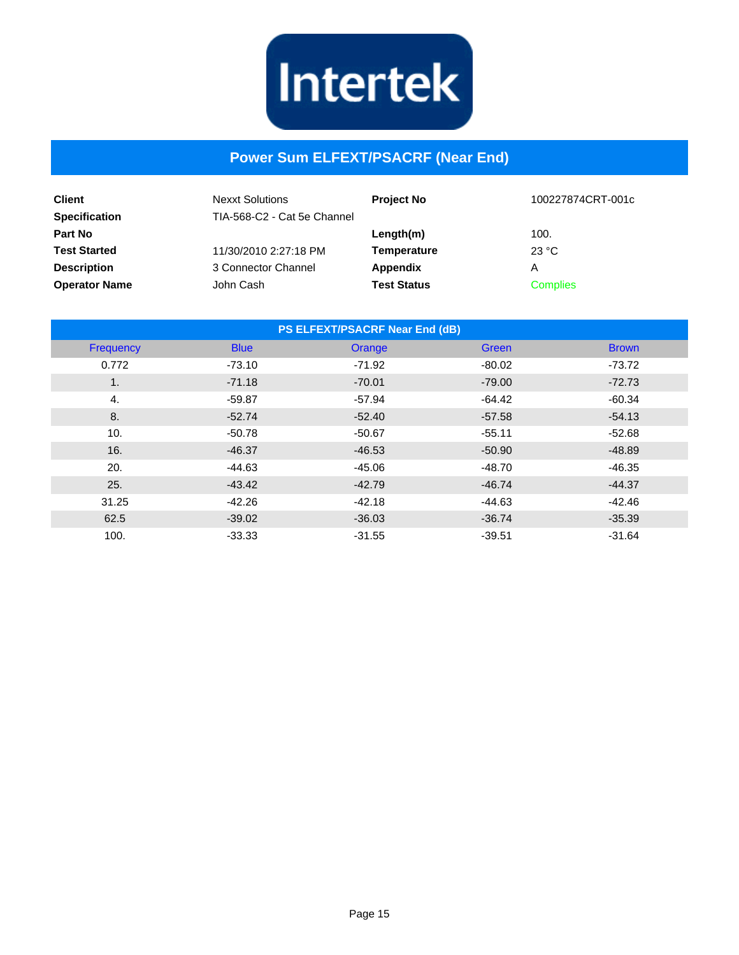

#### **Power Sum ELFEXT/PSACRF (Near End)**

| <b>Client</b><br><b>Specification</b> | <b>Nexxt Solutions</b><br>TIA-568-C2 - Cat 5e Channel | <b>Project No</b>  | 100227874CRT-001c |
|---------------------------------------|-------------------------------------------------------|--------------------|-------------------|
| <b>Part No</b>                        |                                                       | Length(m)          | 100.              |
| <b>Test Started</b>                   | 11/30/2010 2:27:18 PM                                 | <b>Temperature</b> | 23 °C             |
| <b>Description</b>                    | 3 Connector Channel                                   | Appendix           | Α                 |
| <b>Operator Name</b>                  | John Cash                                             | <b>Test Status</b> | <b>Complies</b>   |

| PS ELFEXT/PSACRF Near End (dB) |             |          |              |              |  |
|--------------------------------|-------------|----------|--------------|--------------|--|
| Frequency                      | <b>Blue</b> | Orange   | <b>Green</b> | <b>Brown</b> |  |
| 0.772                          | $-73.10$    | $-71.92$ | $-80.02$     | $-73.72$     |  |
| 1.                             | $-71.18$    | $-70.01$ | $-79.00$     | $-72.73$     |  |
| 4.                             | $-59.87$    | $-57.94$ | $-64.42$     | $-60.34$     |  |
| 8.                             | $-52.74$    | $-52.40$ | $-57.58$     | $-54.13$     |  |
| 10.                            | $-50.78$    | $-50.67$ | $-55.11$     | $-52.68$     |  |
| 16.                            | $-46.37$    | $-46.53$ | $-50.90$     | $-48.89$     |  |
| 20.                            | $-44.63$    | $-45.06$ | $-48.70$     | $-46.35$     |  |
| 25.                            | $-43.42$    | $-42.79$ | $-46.74$     | $-44.37$     |  |
| 31.25                          | $-42.26$    | $-42.18$ | $-44.63$     | $-42.46$     |  |
| 62.5                           | $-39.02$    | $-36.03$ | $-36.74$     | $-35.39$     |  |
| 100.                           | $-33.33$    | $-31.55$ | $-39.51$     | $-31.64$     |  |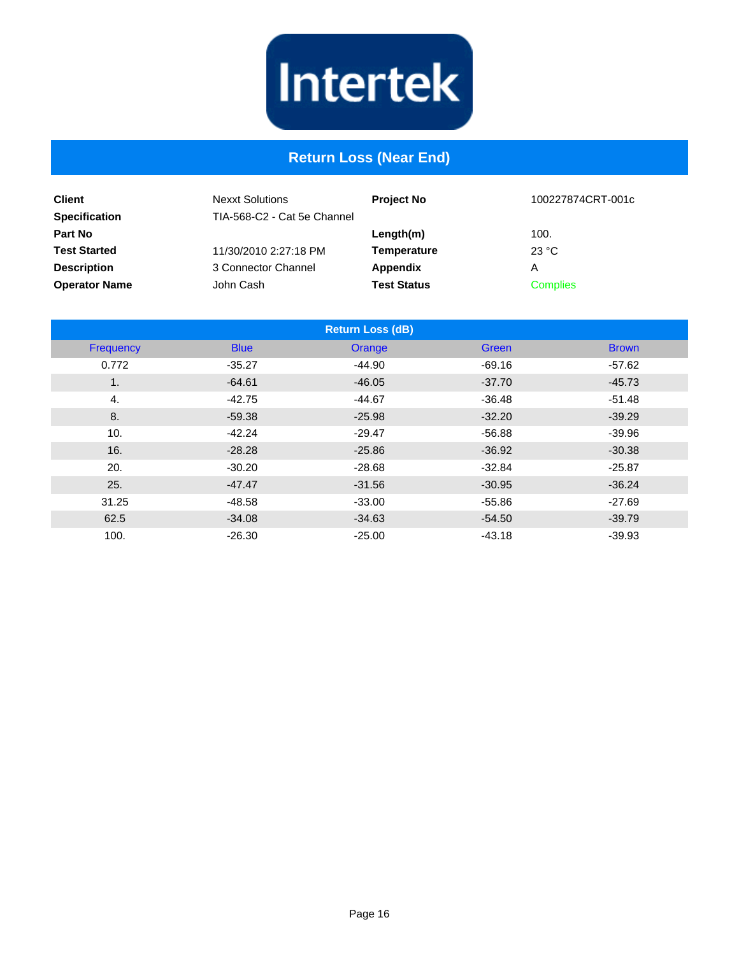

#### **Return Loss (Near End)**

| <b>Client</b><br><b>Specification</b> | <b>Nexxt Solutions</b><br>TIA-568-C2 - Cat 5e Channel | <b>Project No</b>  | 100227874CRT-001c |
|---------------------------------------|-------------------------------------------------------|--------------------|-------------------|
| <b>Part No</b>                        |                                                       | Length(m)          | 100.              |
| <b>Test Started</b>                   | 11/30/2010 2:27:18 PM                                 | Temperature        | 23 °C             |
| <b>Description</b>                    | 3 Connector Channel                                   | Appendix           | А                 |
| <b>Operator Name</b>                  | John Cash                                             | <b>Test Status</b> | <b>Complies</b>   |

|           |             | <b>Return Loss (dB)</b> |          |              |
|-----------|-------------|-------------------------|----------|--------------|
| Frequency | <b>Blue</b> | Orange                  | Green    | <b>Brown</b> |
| 0.772     | $-35.27$    | $-44.90$                | $-69.16$ | $-57.62$     |
| 1.        | $-64.61$    | $-46.05$                | $-37.70$ | $-45.73$     |
| 4.        | $-42.75$    | $-44.67$                | $-36.48$ | $-51.48$     |
| 8.        | $-59.38$    | $-25.98$                | $-32.20$ | $-39.29$     |
| 10.       | $-42.24$    | $-29.47$                | $-56.88$ | $-39.96$     |
| 16.       | $-28.28$    | $-25.86$                | $-36.92$ | $-30.38$     |
| 20.       | $-30.20$    | $-28.68$                | $-32.84$ | $-25.87$     |
| 25.       | $-47.47$    | $-31.56$                | $-30.95$ | $-36.24$     |
| 31.25     | $-48.58$    | $-33.00$                | $-55.86$ | $-27.69$     |
| 62.5      | $-34.08$    | $-34.63$                | $-54.50$ | $-39.79$     |
| 100.      | $-26.30$    | $-25.00$                | $-43.18$ | $-39.93$     |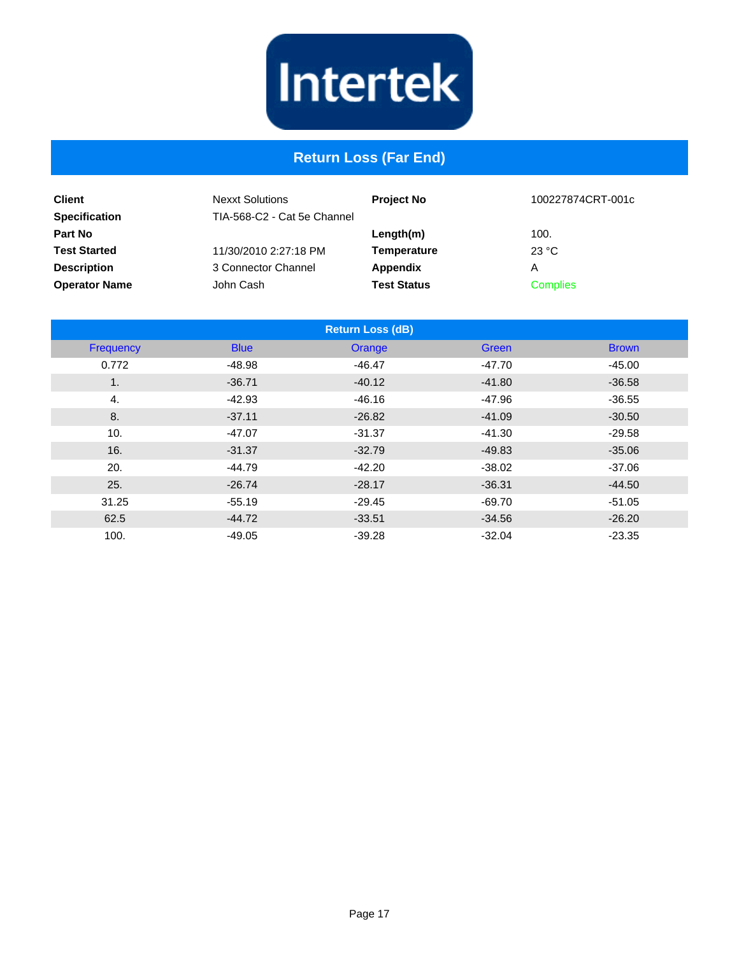

#### **Return Loss (Far End)**

| <b>Client</b><br><b>Specification</b> | <b>Nexxt Solutions</b><br>TIA-568-C2 - Cat 5e Channel | <b>Project No</b>  | 100227874CRT-001c |
|---------------------------------------|-------------------------------------------------------|--------------------|-------------------|
| <b>Part No</b>                        |                                                       | Length(m)          | 100.              |
| <b>Test Started</b>                   | 11/30/2010 2:27:18 PM                                 | Temperature        | 23 °C             |
| <b>Description</b>                    | 3 Connector Channel                                   | Appendix           | Α                 |
| <b>Operator Name</b>                  | John Cash                                             | <b>Test Status</b> | <b>Complies</b>   |

|                  |             | <b>Return Loss (dB)</b> |          |              |
|------------------|-------------|-------------------------|----------|--------------|
| <b>Frequency</b> | <b>Blue</b> | Orange                  | Green    | <b>Brown</b> |
| 0.772            | $-48.98$    | $-46.47$                | $-47.70$ | $-45.00$     |
| 1.               | $-36.71$    | $-40.12$                | $-41.80$ | $-36.58$     |
| 4.               | $-42.93$    | $-46.16$                | -47.96   | $-36.55$     |
| 8.               | $-37.11$    | $-26.82$                | $-41.09$ | $-30.50$     |
| 10.              | $-47.07$    | $-31.37$                | $-41.30$ | $-29.58$     |
| 16.              | $-31.37$    | $-32.79$                | $-49.83$ | $-35.06$     |
| 20.              | $-44.79$    | $-42.20$                | $-38.02$ | $-37.06$     |
| 25.              | $-26.74$    | $-28.17$                | $-36.31$ | $-44.50$     |
| 31.25            | $-55.19$    | $-29.45$                | -69.70   | $-51.05$     |
| 62.5             | $-44.72$    | $-33.51$                | $-34.56$ | $-26.20$     |
| 100.             | $-49.05$    | $-39.28$                | $-32.04$ | $-23.35$     |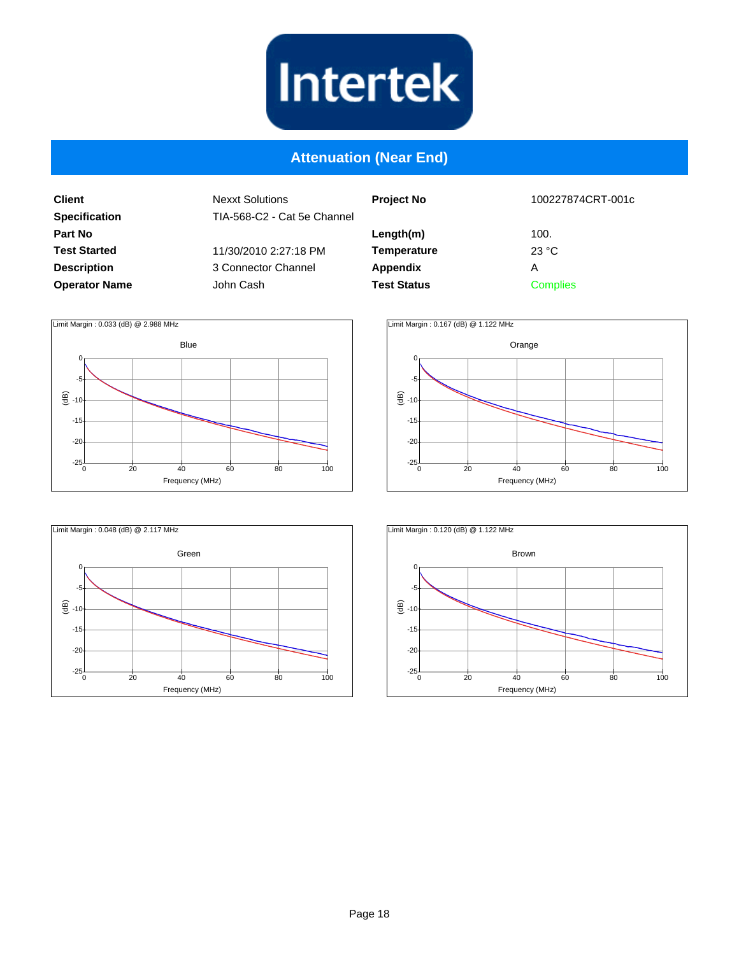

#### **Attenuation (Near End)**

**Client Specification Part No Test Started Description Operator Name**

| el | <b>Project No</b>  | 100227874CRT-001c |
|----|--------------------|-------------------|
|    | Length(m)          | 100.              |
|    | <b>Temperature</b> | 23 °C             |
|    | Appendix           | A                 |
|    | <b>Test Status</b> | <b>Complies</b>   |
|    |                    |                   |







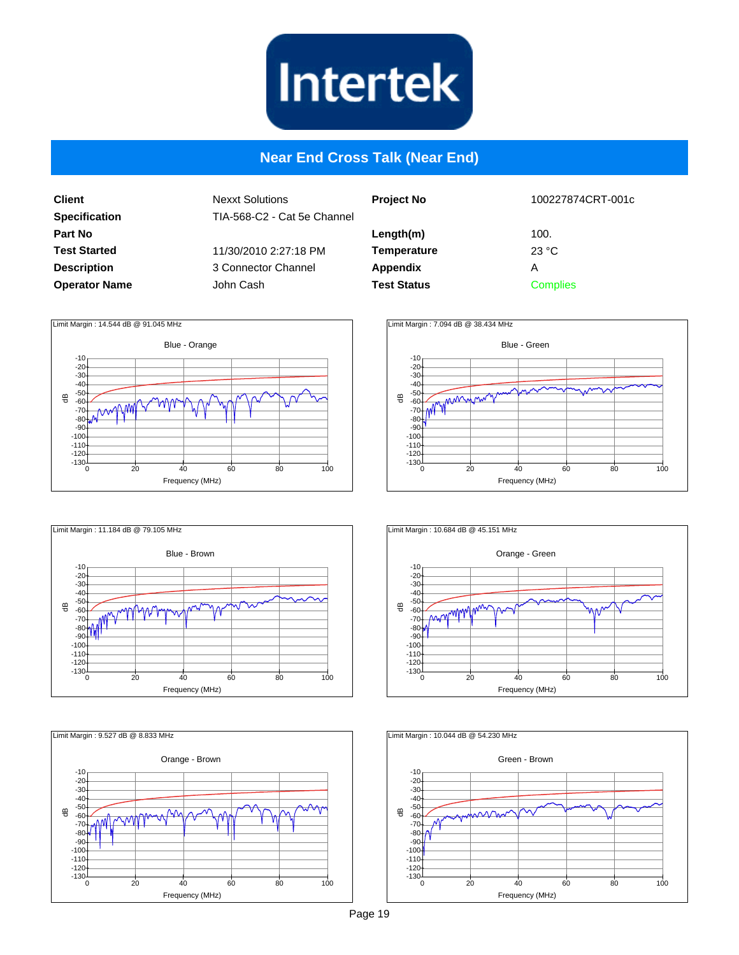

#### **Near End Cross Talk (Near End)**

**Client Specification Part No Test Started Description Operator Name** Nexxt Solutions TIA-568-C2 - Cat 5e Channel 11/30/2010 2:27:18 PM 3 Connector Channel John Cash

| 100227874CRT-001c                     |  |
|---------------------------------------|--|
| 100.<br>23 °C<br>А<br><b>Complies</b> |  |
|                                       |  |











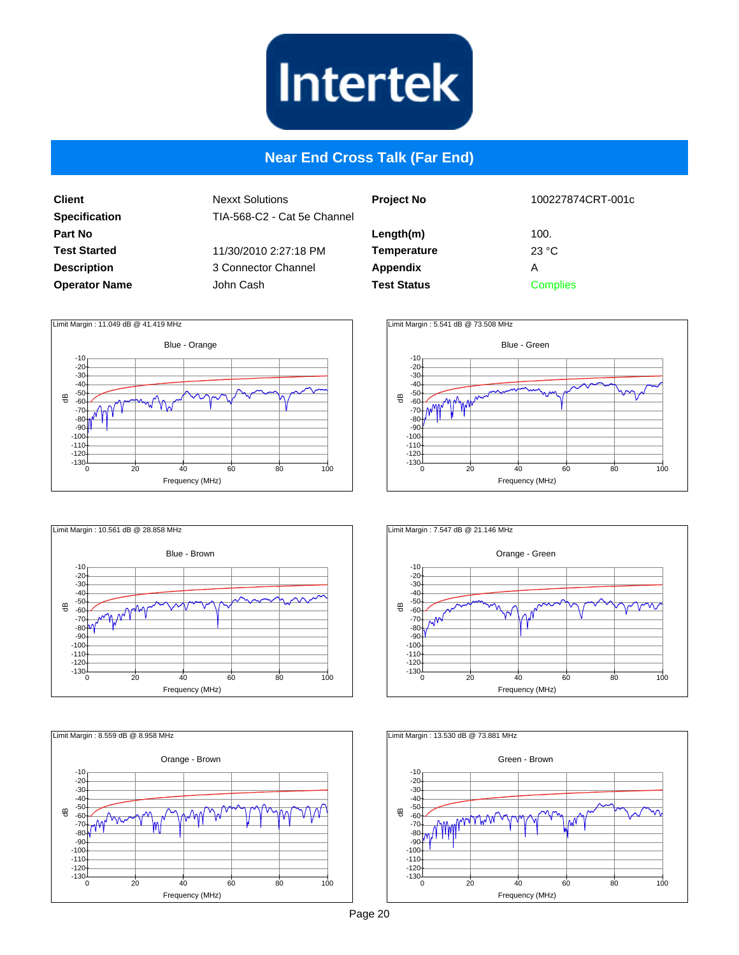

#### **Near End Cross Talk (Far End)**

**Client Specification Part No Test Started Description Operator Name** Nexxt Solutions TIA-568-C2 - Cat 5e Channel 11/30/2010 2:27:18 PM 3 Connector Channel John Cash

| اڍ | <b>Project No</b>  | 100227874CRT-001c       |
|----|--------------------|-------------------------|
|    | Length(m)          | 100.                    |
|    | <b>Temperature</b> | $23 \text{ }^{\circ}$ C |
|    | Appendix           | А                       |
|    | <b>Test Status</b> | <b>Complies</b>         |
|    |                    |                         |











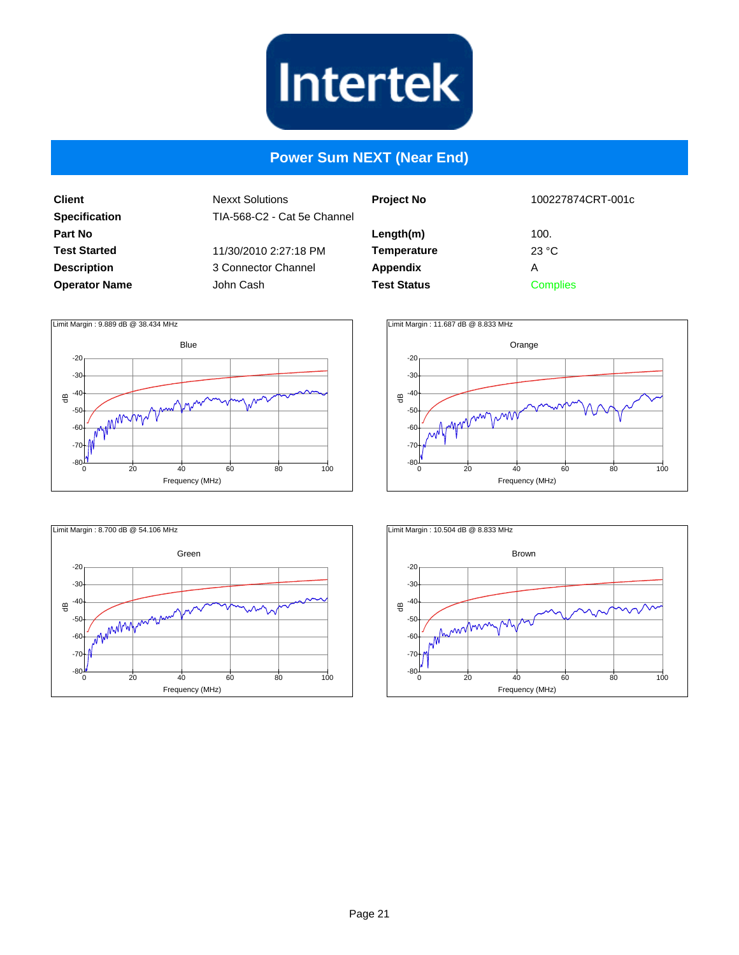

#### **Power Sum NEXT (Near End)**

**Client Specification Part No Test Started Description Operator Name**

| <b>Project No</b>  | 100227874CRT-001c |  |
|--------------------|-------------------|--|
| Length(m)          | 100.              |  |
| <b>Temperature</b> | 23 °C             |  |
| <b>Appendix</b>    | А                 |  |
| <b>Test Status</b> | Complies          |  |
|                    |                   |  |







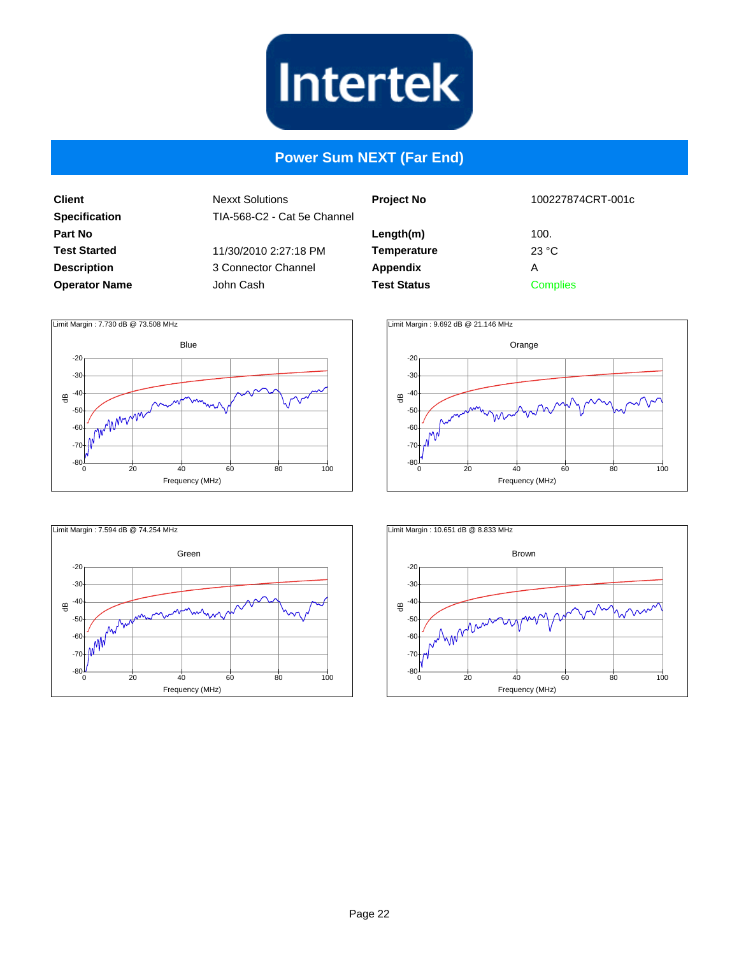

#### **Power Sum NEXT (Far End)**

**Client Specification Part No Test Started Description Operator Name**

| <b>Project No</b>  | 100227874CRT-001c |  |
|--------------------|-------------------|--|
| Length(m)          | 100.              |  |
| <b>Temperature</b> | 23 °C             |  |
| Appendix           | А                 |  |
| <b>Test Status</b> | <b>Complies</b>   |  |







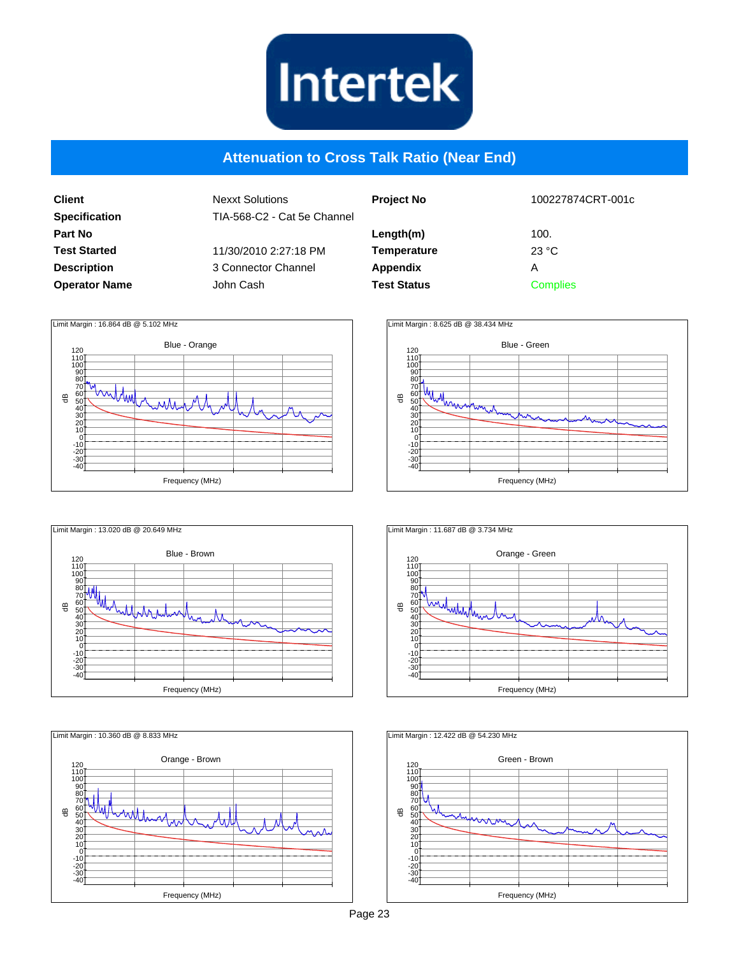

#### **Attenuation to Cross Talk Ratio (Near End)**

| Client               |
|----------------------|
| <b>Specification</b> |
| Part No              |
| <b>Test Started</b>  |
| <b>Description</b>   |
| <b>Operator Name</b> |

| <b>Nexxt Solutions</b><br>TIA-568-C2 - Cat 5e Channel |
|-------------------------------------------------------|
| 11/30/2010 2:27:18 PM                                 |
| 3 Connector Channel                                   |
| John Cash.                                            |
|                                                       |

| <b>Project No</b>  | 100227874CRT-001c |
|--------------------|-------------------|
| Length(m)          | 100.              |
| <b>Temperature</b> | 23 °C             |
| Appendix           | А                 |
| <b>Test Status</b> | <b>Complies</b>   |
|                    |                   |











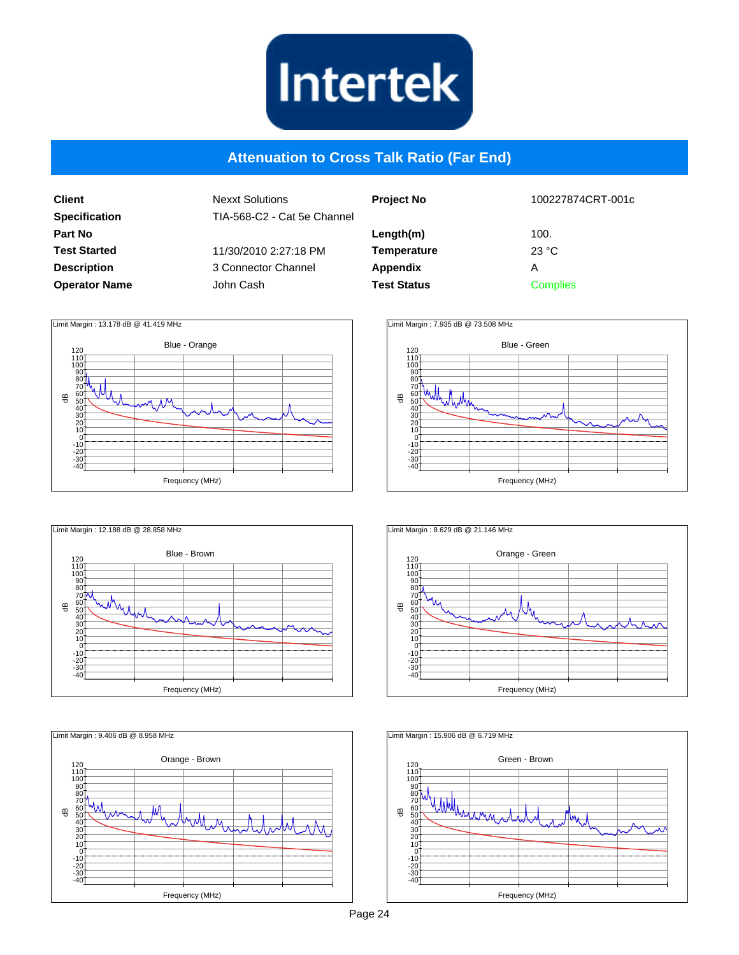

#### **Attenuation to Cross Talk Ratio (Far End)**

| <b>Client</b>        |
|----------------------|
| <b>Specification</b> |
| Part No              |
| <b>Test Started</b>  |
| <b>Description</b>   |
| <b>Operator Name</b> |

| <b>Nexxt Solutions</b><br>TIA-568-C2 - Cat 5e Channel |
|-------------------------------------------------------|
| 11/30/2010 2:27:18 PM                                 |
| 3 Connector Channel                                   |
| John Cash.                                            |
|                                                       |

| 100227874CRT-001c |  |
|-------------------|--|
| 100.              |  |
| 23 °C             |  |
| А                 |  |
| <b>Complies</b>   |  |
|                   |  |











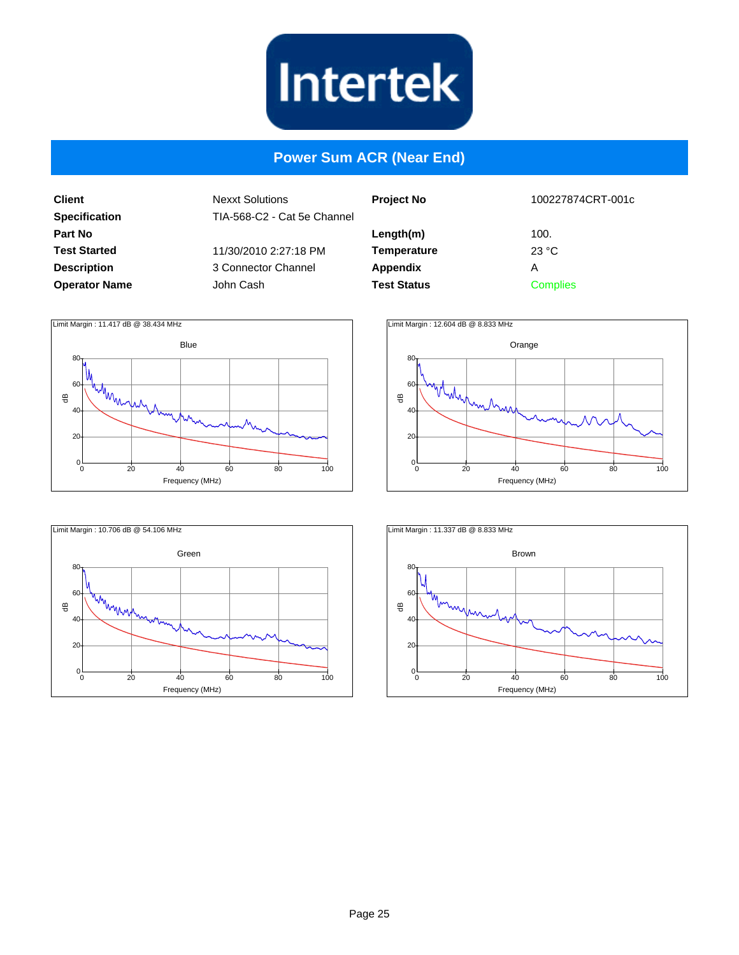

#### **Power Sum ACR (Near End)**

**Client Specification Part No Test Started Description Operator Name**

| 100227874CRT-001c |  |
|-------------------|--|
| 100.              |  |
| 23 °C             |  |
| А                 |  |
| <b>Complies</b>   |  |
|                   |  |







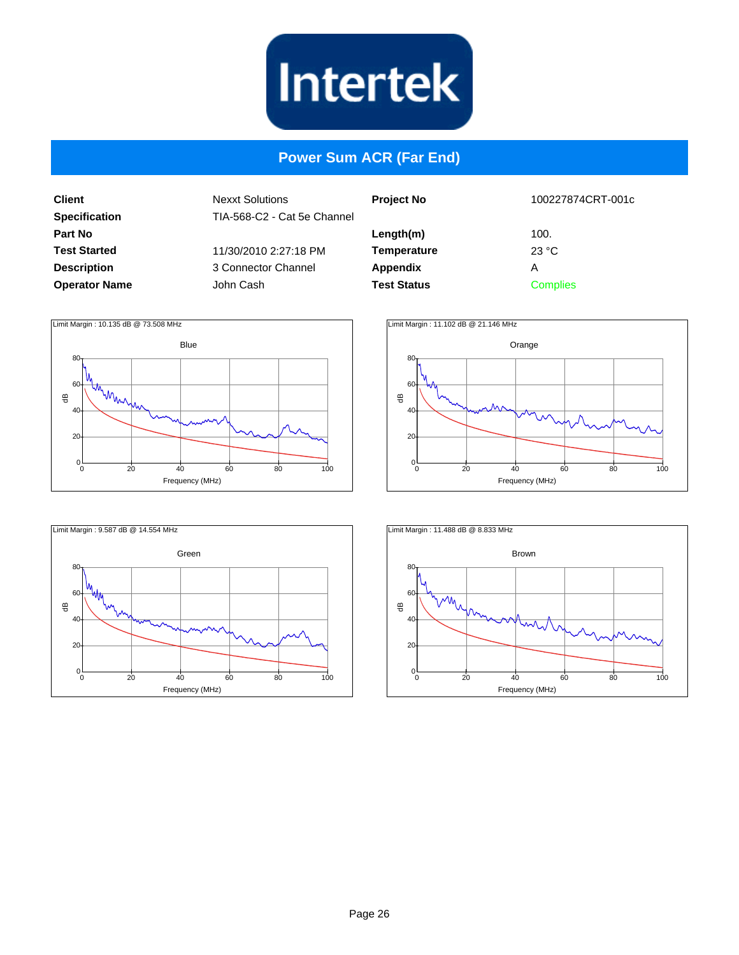

#### **Power Sum ACR (Far End)**

**Client Specification Part No Test Started Description Operator Name**

| ٦el | <b>Project No</b>  | 100227874CRT-001c |  |
|-----|--------------------|-------------------|--|
|     | Length(m)          | 100.              |  |
|     | <b>Temperature</b> | 23 °C             |  |
|     | <b>Appendix</b>    | А                 |  |
|     | <b>Test Status</b> | <b>Complies</b>   |  |
|     |                    |                   |  |







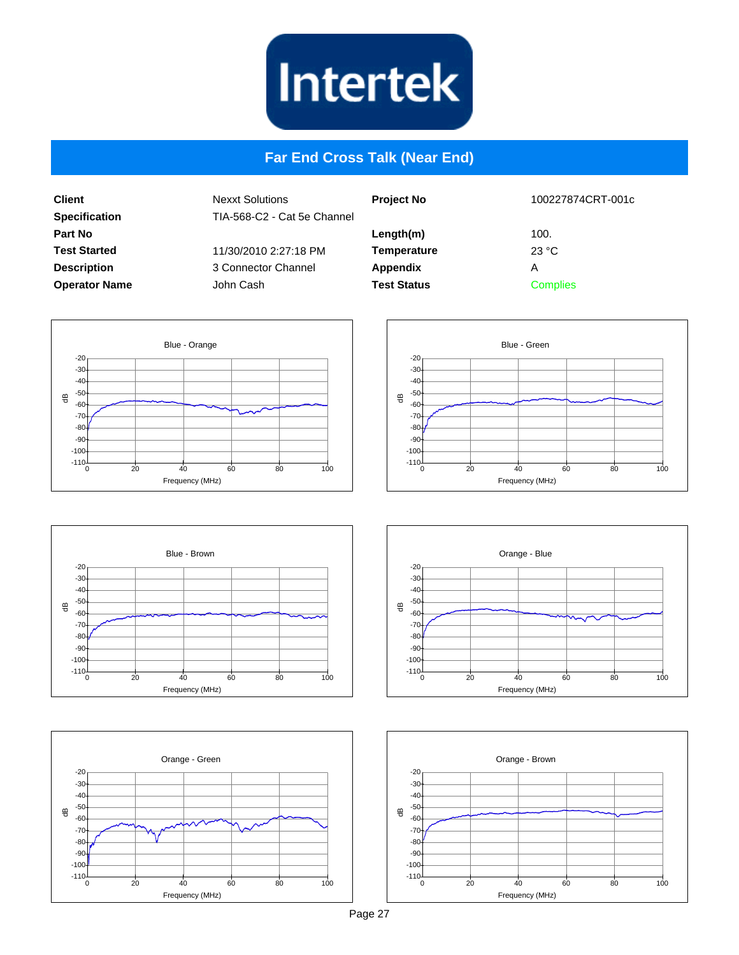

#### **Far End Cross Talk (Near End)**

**Client Specification Part No Test Started Description Operator Name** Nexxt Solutions TIA-568-C2 - Cat 5e Channel 11/30/2010 2:27:18 PM 3 Connector Channel John Cash

| <b>Project No</b>               | 100227874CRT-001c |
|---------------------------------|-------------------|
| Length(m)<br><b>Temperature</b> | 100.<br>23 °C     |
| <b>Appendix</b>                 | А                 |
| <b>Test Status</b>              | <b>Complies</b>   |
|                                 |                   |











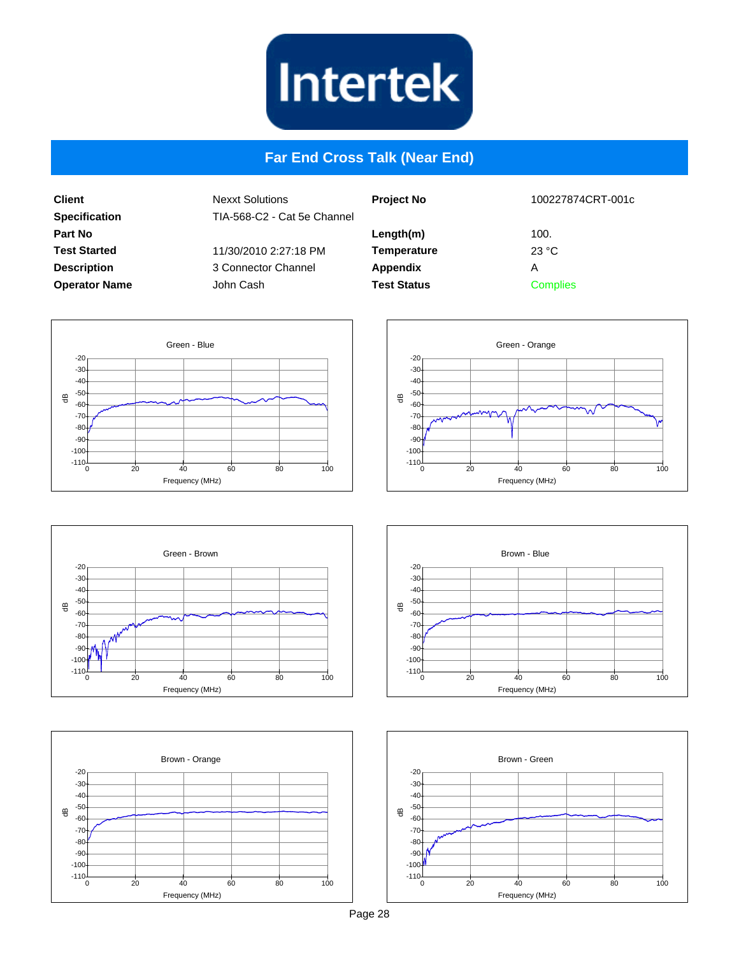

#### **Far End Cross Talk (Near End)**

**Client Specification Part No Test Started Description Operator Name** Nexxt Solutions TIA-568-C2 - Cat 5e Chann 11/30/2010 2:27:18 PM 3 Connector Channel John Cash

| ٦el | <b>Project No</b>  | 100227874CRT-001c |
|-----|--------------------|-------------------|
|     | Length(m)          | 100.              |
|     | <b>Temperature</b> | 23 °C             |
|     | Appendix           | Α                 |
|     | <b>Test Status</b> | <b>Complies</b>   |
|     |                    |                   |











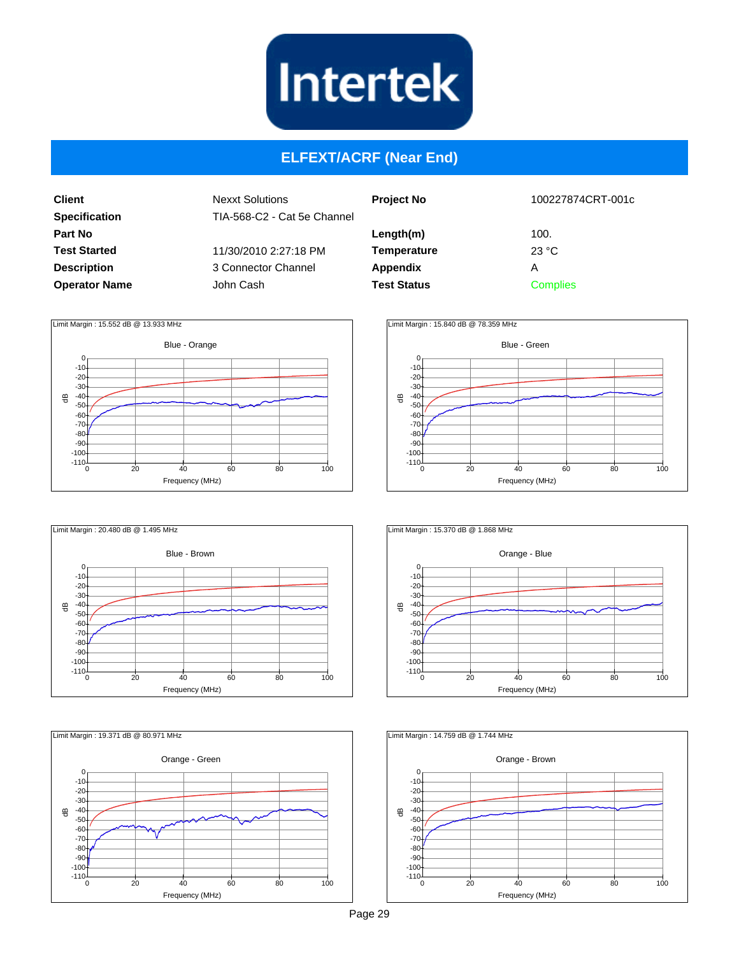

#### **ELFEXT/ACRF (Near End)**

**Client Specification Part No Test Started Description Operator Name** Nexxt Solutions TIA-568-C2 - Cat 5e Channel 11/30/2010 2:27:18 PM 3 Connector Channel John Cash

| <b>Project No</b>  | 100227874CRT-001c |
|--------------------|-------------------|
| Length(m)          | 100.              |
| <b>Temperature</b> | 23 °C             |
| Appendix           | А                 |
| <b>Test Status</b> | <b>Complies</b>   |
|                    |                   |











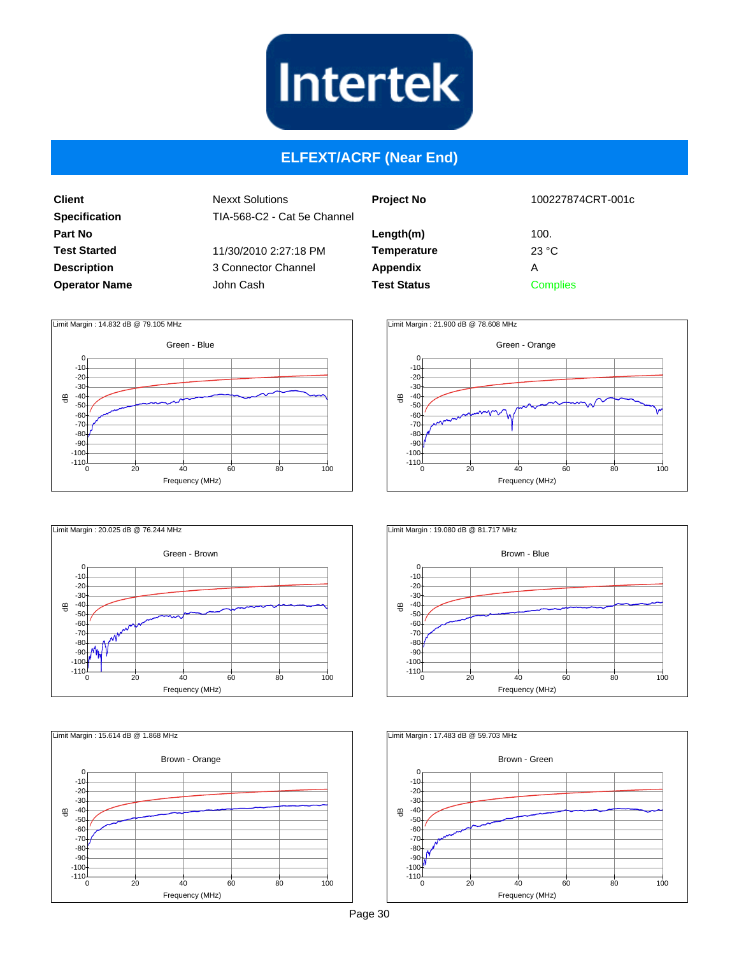

#### **ELFEXT/ACRF (Near End)**

**Client Specification Part No Test Started Description Operator Name** Nexxt Solutions TIA-568-C2 - Cat 5e Channel 11/30/2010 2:27:18 PM 3 Connector Channel John Cash

| <b>Project No</b>  | 100227874CRT-001c |
|--------------------|-------------------|
| Length(m)          | 100.              |
| <b>Temperature</b> | 23 °C             |
| Appendix           | А                 |
| <b>Test Status</b> | <b>Complies</b>   |











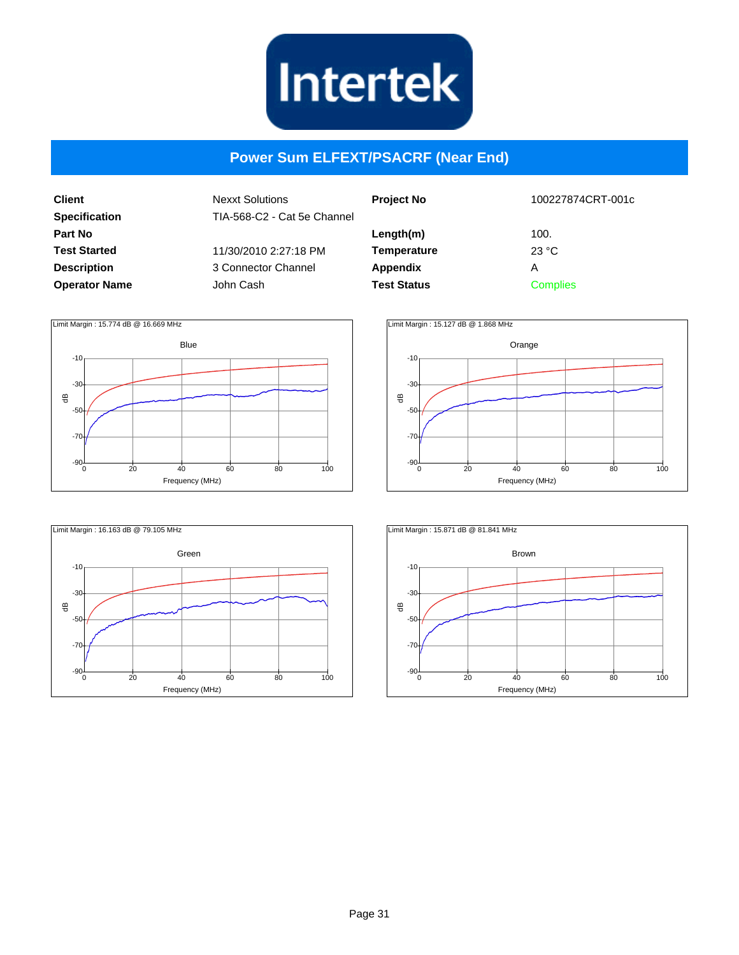

#### **Power Sum ELFEXT/PSACRF (Near End)**

**Client Specification Part No Test Started Description Operator Name**

| <b>Project No</b>                           | 100227874CRT-001c  |
|---------------------------------------------|--------------------|
| Length(m)<br><b>Temperature</b><br>Appendix | 100.<br>23 °C<br>А |
| <b>Test Status</b>                          | <b>Complies</b>    |







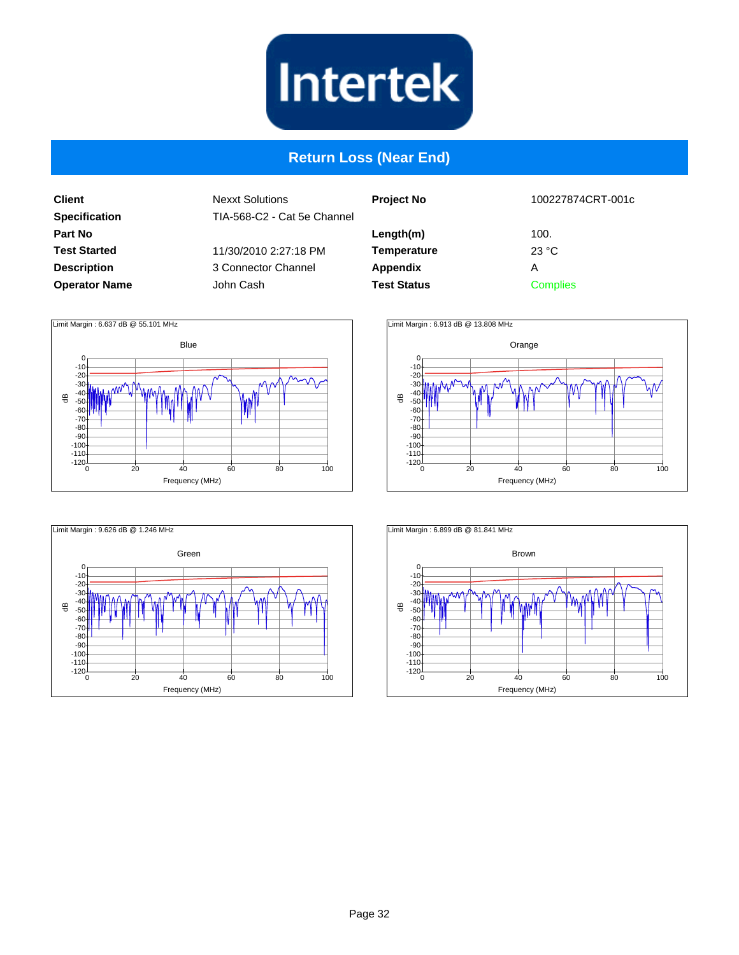

#### **Return Loss (Near End)**

**Client Specification Part No Test Started Description Operator Name**

| <b>Project No</b>  | 100227874CRT-001c |
|--------------------|-------------------|
| Length(m)          | 100.              |
| <b>Temperature</b> | 23 °C             |
| <b>Appendix</b>    | А                 |
| <b>Test Status</b> | <b>Complies</b>   |
|                    |                   |







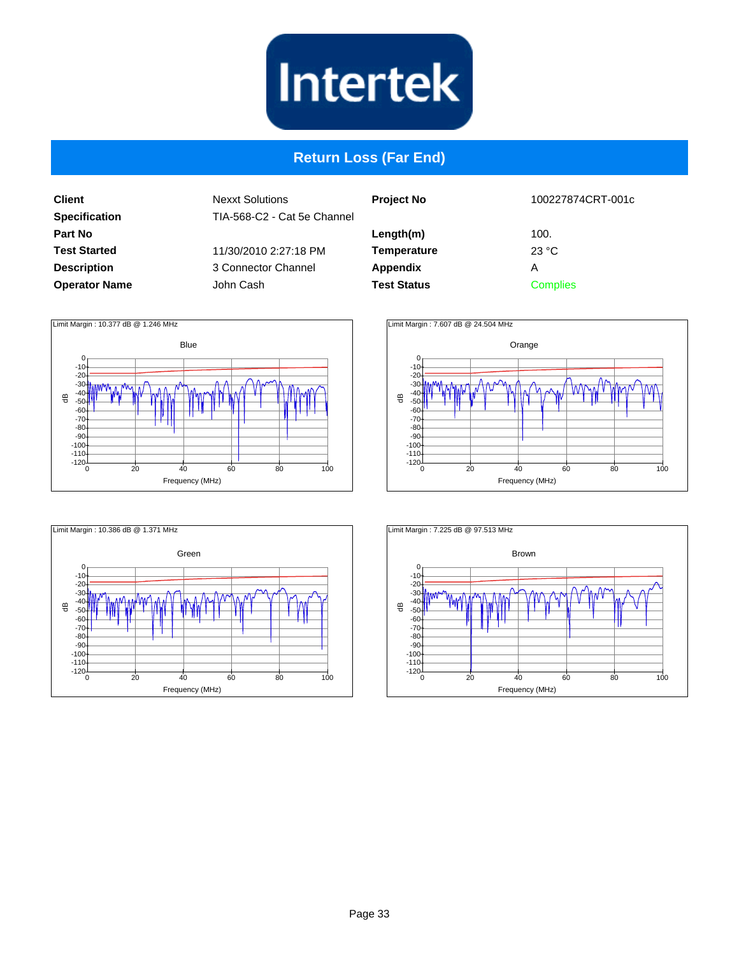

#### **Return Loss (Far End)**

**Client Specification Part No Test Started Description Operator Name**

| <b>Project No</b>  | 100227874CRT-001c |
|--------------------|-------------------|
| Length(m)          | 100.              |
| <b>Temperature</b> | 23 °C             |
| Appendix           | А                 |
| <b>Test Status</b> | Complies          |
|                    |                   |







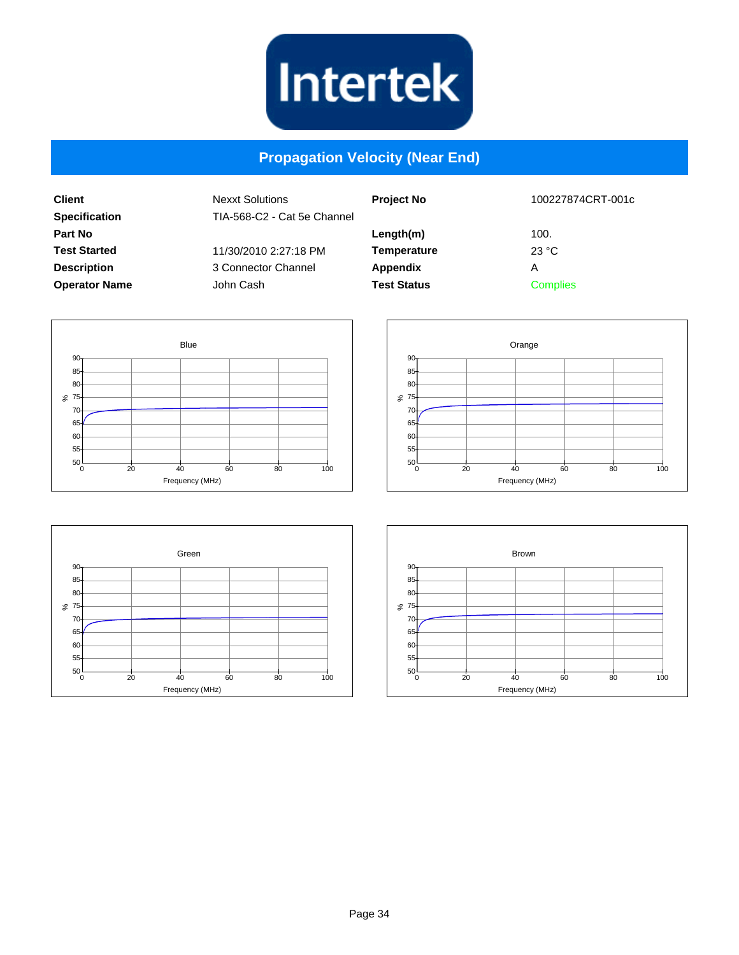

#### **Propagation Velocity (Near End)**

| <b>Client</b>        | <b>Nexxt Solutions</b>      | <b>Project No</b>  | 100227874CRT-001c |
|----------------------|-----------------------------|--------------------|-------------------|
| <b>Specification</b> | TIA-568-C2 - Cat 5e Channel |                    |                   |
| Part No              |                             | Length(m)          | 100.              |
| <b>Test Started</b>  | 11/30/2010 2:27:18 PM       | Temperature        | 23 °C             |
| <b>Description</b>   | 3 Connector Channel         | Appendix           | Α                 |
| <b>Operator Name</b> | John Cash                   | <b>Test Status</b> | <b>Complies</b>   |
|                      |                             |                    |                   |







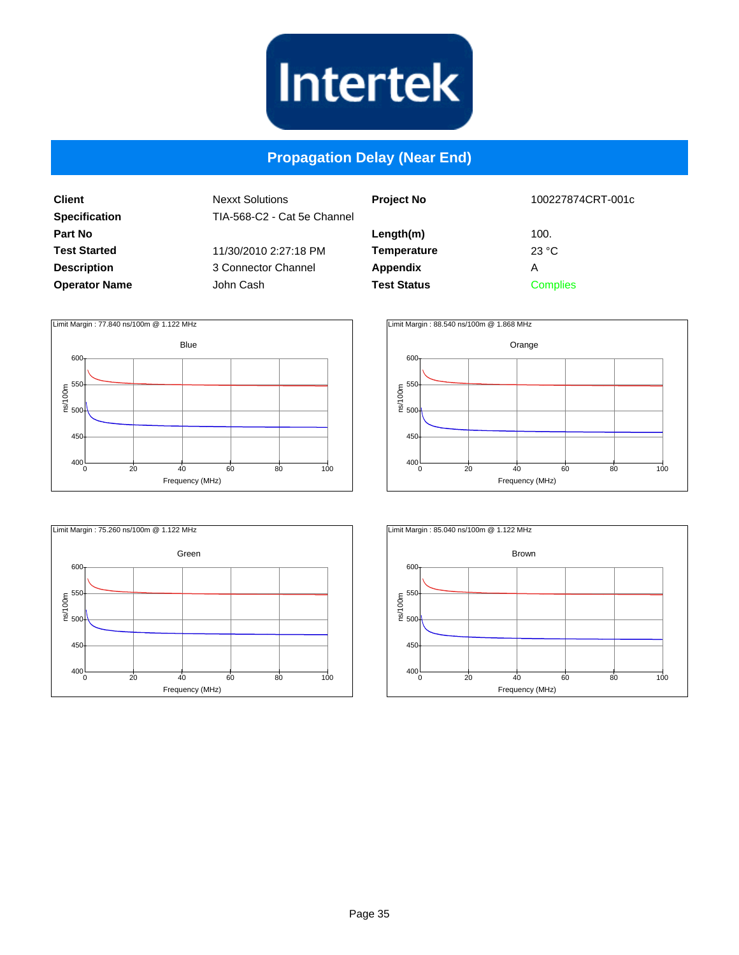

#### **Propagation Delay (Near End)**

**Client Specification Part No Test Started Description Operator Name**

| <b>Project No</b>  | 100227874CRT-001c |
|--------------------|-------------------|
| Length(m)          | 100.              |
| <b>Temperature</b> | 23 °C             |
| <b>Appendix</b>    | А                 |
| <b>Test Status</b> | <b>Complies</b>   |
|                    |                   |







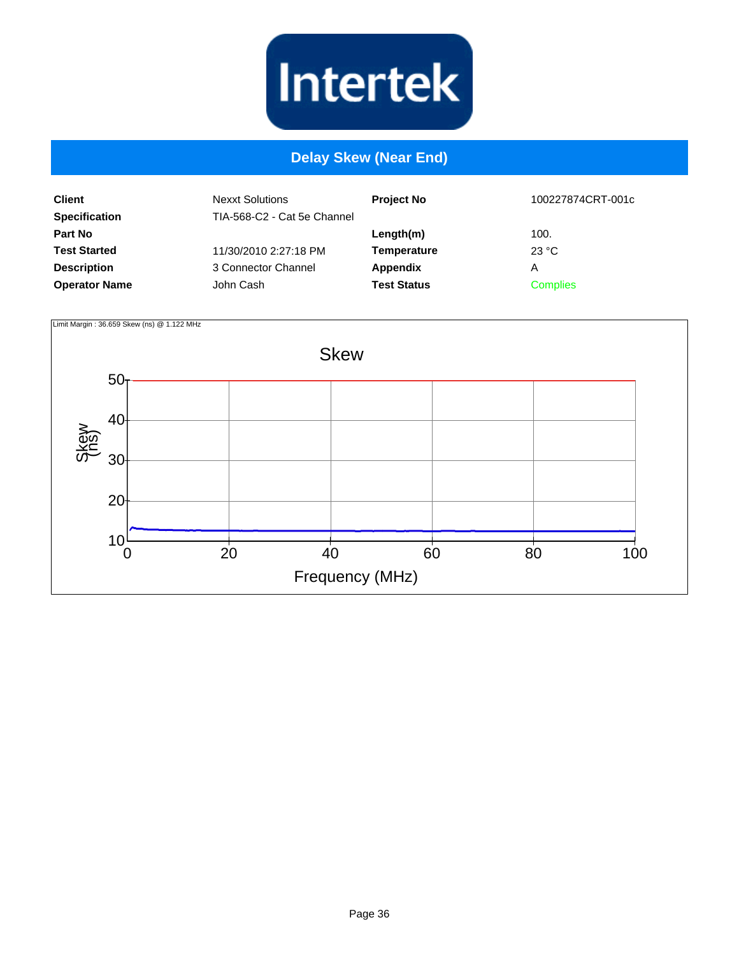

#### **Delay Skew (Near End)**

| <b>Client</b><br><b>Specification</b> | <b>Nexxt Solutions</b><br>TIA-568-C2 - Cat 5e Channel | <b>Project No</b>  | 100227874CRT-001c |
|---------------------------------------|-------------------------------------------------------|--------------------|-------------------|
| <b>Part No</b>                        |                                                       | Length(m)          | 100.              |
| <b>Test Started</b>                   | 11/30/2010 2:27:18 PM                                 | <b>Temperature</b> | 23 °C             |
| <b>Description</b>                    | 3 Connector Channel                                   | Appendix           | A                 |
| <b>Operator Name</b>                  | John Cash                                             | <b>Test Status</b> | <b>Complies</b>   |

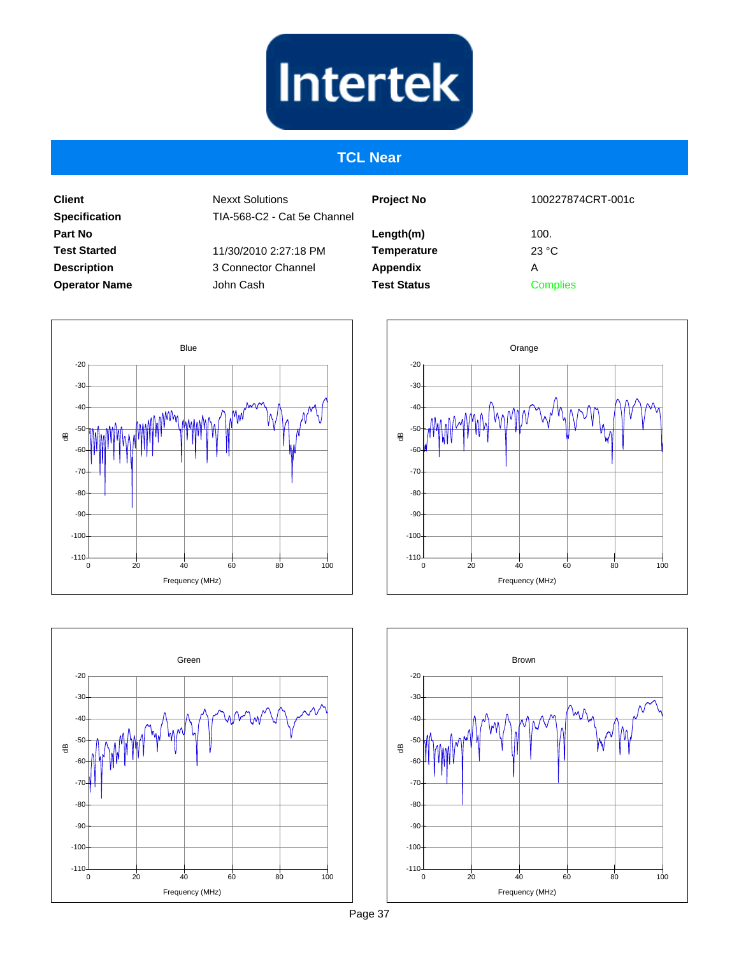#### **TCL Near**

**Client Specification Part No Test Started Description Operator Name**

Nexxt Solutions TIA-568-C2 - Cat 5e Channel

11/30/2010 2:27:18 PM 3 Connector Channel John Cash

| <b>Project No</b>  | 100227874CRT-001c |
|--------------------|-------------------|
| Length(m)          | 100.              |
| <b>Temperature</b> | 23 °C             |
| Appendix           | А                 |
| <b>Test Status</b> | <b>Complies</b>   |
|                    |                   |







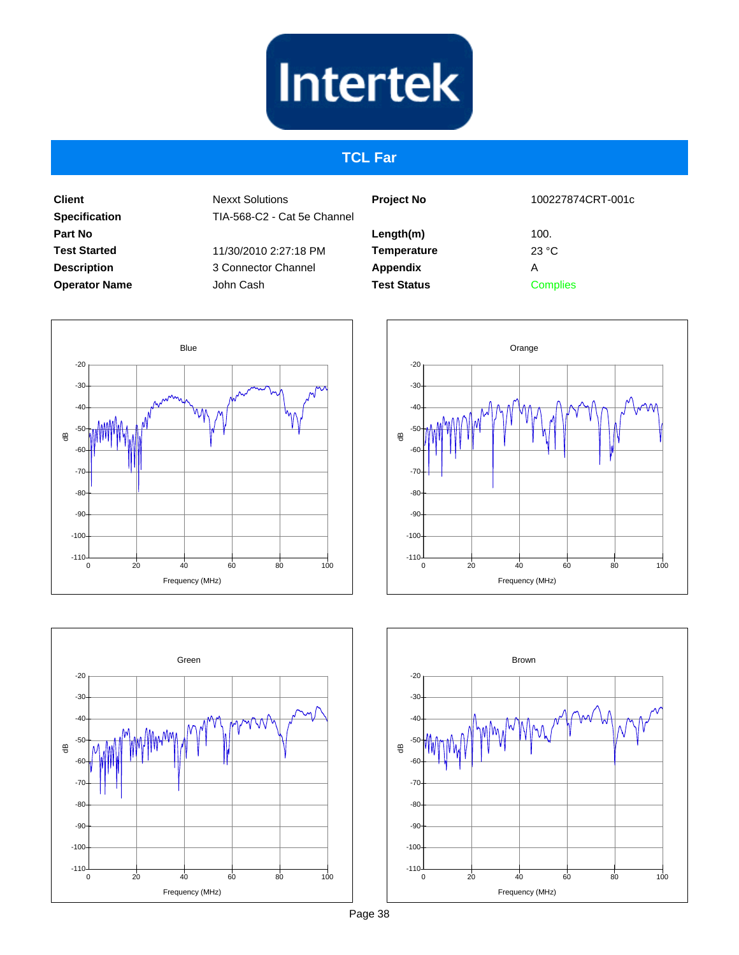#### **TCL Far**

**Client Specification Part No Test Started Description Operator Name**

Nexxt Solutions TIA-568-C2 - Cat 5e Channel

11/30/2010 2:27:18 PM 3 Connector Channel John Cash

| <b>Project No</b>  |
|--------------------|
| Length(m)          |
| <b>Temperature</b> |
| <b>Appendix</b>    |
| <b>Test Status</b> |

100227874CRT-001c

100. 23 °C A **Complies** 







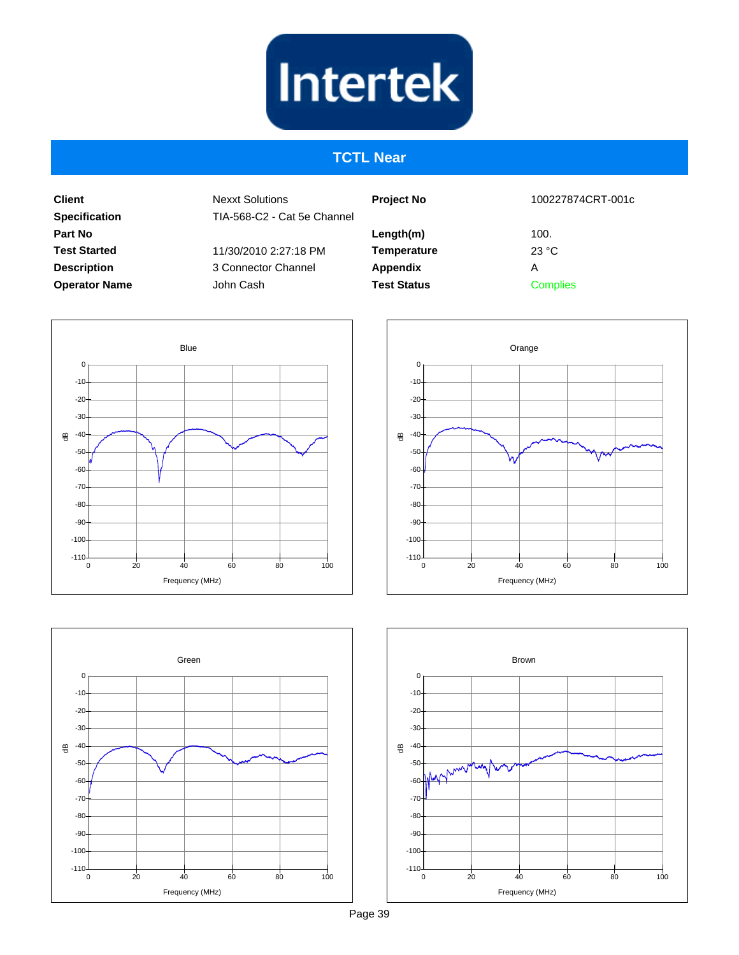#### **TCTL Near**

**Client Specification Part No Test Started Description Operator Name** Nexxt Solutions TIA-568-C2 - Cat 5e Channel 11/30/2010 2:27:18 PM 3 Connector Channel

John Cash

**Project No Length(m) Temperature Appendix Test Status** 100227874CRT-001c 100. 23 °C A **Complies** 







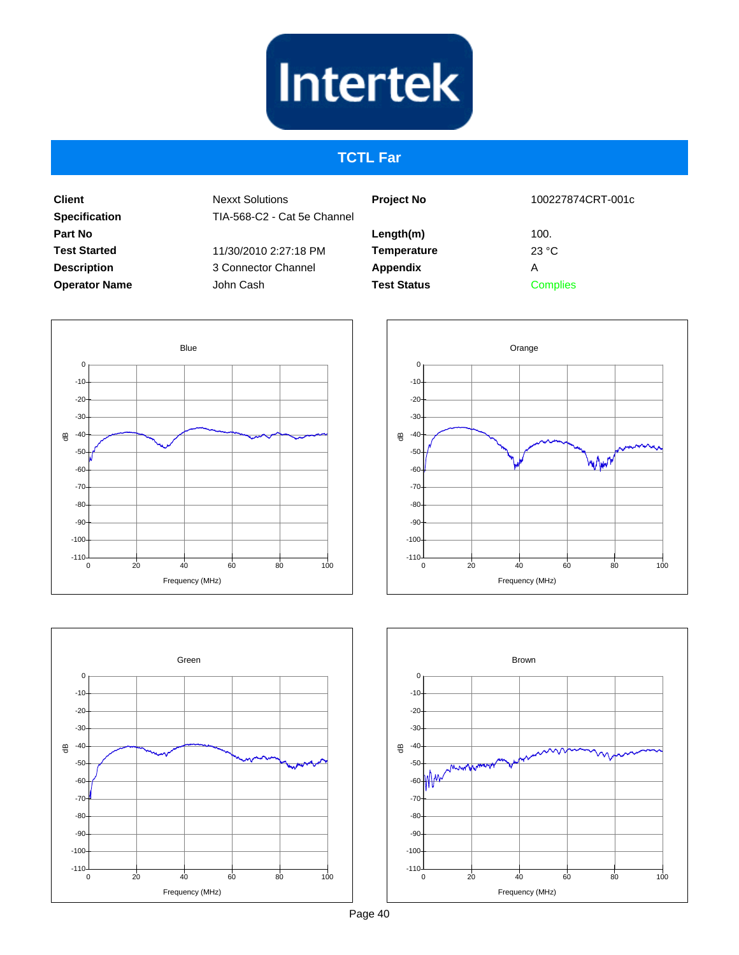## **TCTL Far**

**Client Specification Part No Test Started Description Operator Name** Nexxt Solutions TIA-568-C2 - Cat 5e Channel 11/30/2010 2:27:18 PM

3 Connector Channel John Cash

| <b>Project No</b>  | 100227874CRT-001c       |
|--------------------|-------------------------|
| Length(m)          | 100.                    |
| <b>Temperature</b> | $23 \text{ }^{\circ}$ C |
| <b>Appendix</b>    | А                       |
| <b>Test Status</b> | <b>Complies</b>         |
|                    |                         |







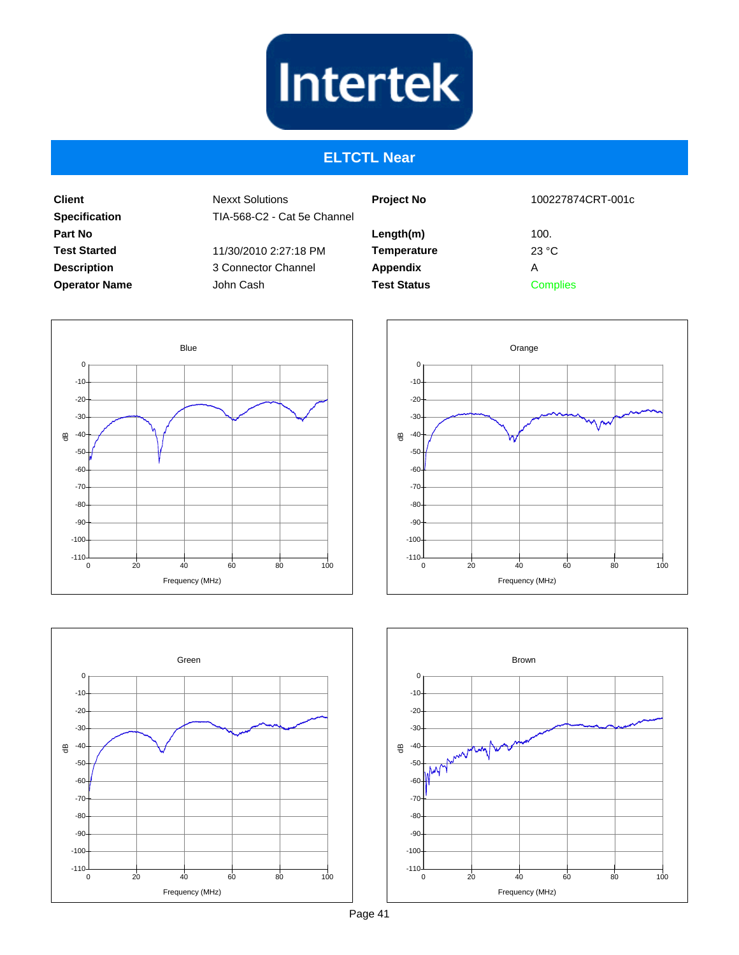

#### **ELTCTL Near**

**Client Specification Part No Test Started Description Operator Name** Nexxt Solutions TIA-568-C2 - Cat 5e Channel 11/30/2010 2:27:18 PM 3 Connector Channel

John Cash

| <b>Project No</b>  | 100227874CRT-001c |  |
|--------------------|-------------------|--|
| Length(m)          | 100.              |  |
| <b>Temperature</b> | 23 °C             |  |
| Appendix           | А                 |  |
| <b>Test Status</b> | <b>Complies</b>   |  |